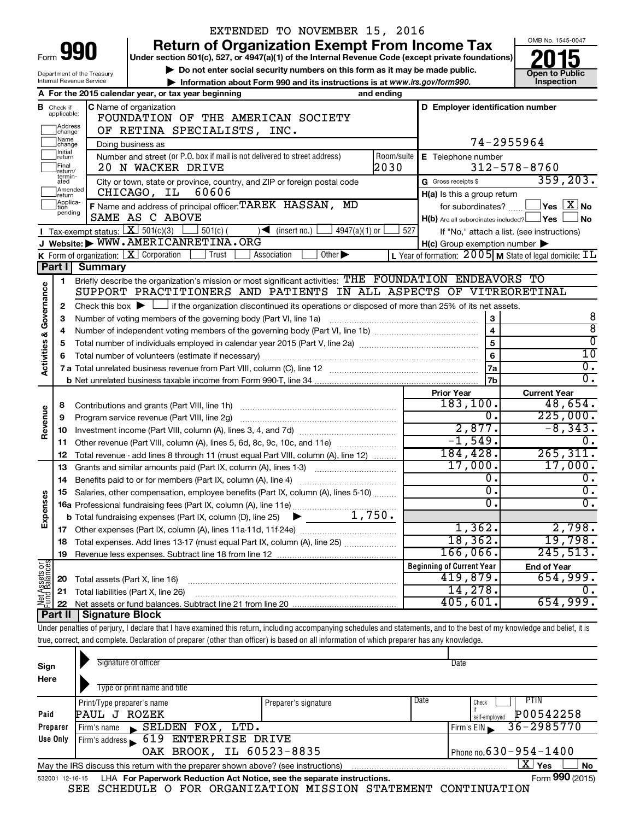|                                                                                                           |                                  |                                                                                                    | EXTENDED TO NOVEMBER 15, 2016                                                                                                                                              |     |                                                     |                                                                    |
|-----------------------------------------------------------------------------------------------------------|----------------------------------|----------------------------------------------------------------------------------------------------|----------------------------------------------------------------------------------------------------------------------------------------------------------------------------|-----|-----------------------------------------------------|--------------------------------------------------------------------|
|                                                                                                           |                                  | 990                                                                                                | <b>Return of Organization Exempt From Income Tax</b>                                                                                                                       |     |                                                     | OMB No. 1545-0047                                                  |
| Form                                                                                                      |                                  | Under section 501(c), 527, or 4947(a)(1) of the Internal Revenue Code (except private foundations) |                                                                                                                                                                            |     |                                                     |                                                                    |
| Do not enter social security numbers on this form as it may be made public.<br>Department of the Treasury |                                  |                                                                                                    |                                                                                                                                                                            |     |                                                     | <b>Open to Public</b>                                              |
|                                                                                                           |                                  | Internal Revenue Service                                                                           | Information about Form 990 and its instructions is at www.irs.gov/form990.                                                                                                 |     |                                                     | Inspection                                                         |
|                                                                                                           |                                  |                                                                                                    | A For the 2015 calendar year, or tax year beginning<br>and ending                                                                                                          |     |                                                     |                                                                    |
|                                                                                                           | <b>B</b> Check if<br>applicable: |                                                                                                    | C Name of organization                                                                                                                                                     |     | D Employer identification number                    |                                                                    |
|                                                                                                           | Address                          |                                                                                                    | FOUNDATION OF THE AMERICAN SOCIETY                                                                                                                                         |     |                                                     |                                                                    |
|                                                                                                           | change<br>1Name                  |                                                                                                    | OF RETINA SPECIALISTS, INC.                                                                                                                                                |     |                                                     |                                                                    |
|                                                                                                           | change<br>1Initial               |                                                                                                    | Doing business as                                                                                                                                                          |     |                                                     | 74-2955964                                                         |
|                                                                                                           | return<br>Final                  |                                                                                                    | Number and street (or P.O. box if mail is not delivered to street address)<br>2030<br>20 N WACKER DRIVE                                                                    |     | Room/suite   E Telephone number                     | $312 - 578 - 8760$                                                 |
|                                                                                                           | return/<br>termin-               |                                                                                                    |                                                                                                                                                                            |     | G Gross receipts \$                                 | 359, 203.                                                          |
|                                                                                                           | ated<br>Amended                  |                                                                                                    | City or town, state or province, country, and ZIP or foreign postal code<br>60606<br>CHICAGO, IL                                                                           |     | H(a) Is this a group return                         |                                                                    |
|                                                                                                           | Ireturn<br>Applica-              |                                                                                                    | F Name and address of principal officer: TAREK HASSAN, MD                                                                                                                  |     | for subordinates?                                   | $\Box$ Yes $[\overline{\mathrm{X}}]$ No                            |
|                                                                                                           | tion<br>pending                  |                                                                                                    | SAME AS C ABOVE                                                                                                                                                            |     | $H(b)$ Are all subordinates included? $\Box$ Yes    | ∫No                                                                |
|                                                                                                           |                                  | Tax-exempt status: $X \over 301(c)(3)$                                                             | $4947(a)(1)$ or<br>$501(c)$ (<br>$\sqrt{\frac{1}{1}}$ (insert no.)                                                                                                         | 527 |                                                     | If "No," attach a list. (see instructions)                         |
|                                                                                                           |                                  |                                                                                                    | J Website: WWW.AMERICANRETINA.ORG                                                                                                                                          |     | $H(c)$ Group exemption number $\blacktriangleright$ |                                                                    |
|                                                                                                           |                                  |                                                                                                    | K Form of organization: X Corporation<br>Other $\blacktriangleright$<br>Trust<br>Association                                                                               |     |                                                     | L Year of formation: $2005$ M State of legal domicile: $\text{IL}$ |
|                                                                                                           | <b>Part II</b>                   | <b>Summary</b>                                                                                     |                                                                                                                                                                            |     |                                                     |                                                                    |
|                                                                                                           | 1.                               |                                                                                                    | Briefly describe the organization's mission or most significant activities: THE FOUNDATION ENDEAVORS TO                                                                    |     |                                                     |                                                                    |
| Governance                                                                                                |                                  |                                                                                                    | SUPPORT PRACTITIONERS AND PATIENTS IN ALL ASPECTS OF VITREORETINAL                                                                                                         |     |                                                     |                                                                    |
|                                                                                                           | 2                                |                                                                                                    | Check this box $\blacktriangleright$ $\Box$ if the organization discontinued its operations or disposed of more than 25% of its net assets.                                |     |                                                     |                                                                    |
|                                                                                                           | 3                                |                                                                                                    | Number of voting members of the governing body (Part VI, line 1a)                                                                                                          |     | 3                                                   | 8                                                                  |
|                                                                                                           | 4                                |                                                                                                    |                                                                                                                                                                            |     | $\overline{\mathbf{4}}$                             | $\overline{8}$                                                     |
| <b>Activities &amp;</b>                                                                                   | 5                                |                                                                                                    |                                                                                                                                                                            | 5   | $\overline{0}$                                      |                                                                    |
|                                                                                                           | 6                                |                                                                                                    |                                                                                                                                                                            |     | 6                                                   | $\overline{10}$                                                    |
|                                                                                                           |                                  |                                                                                                    |                                                                                                                                                                            |     | 7a                                                  | $\overline{0}$ .                                                   |
|                                                                                                           |                                  |                                                                                                    |                                                                                                                                                                            |     | 7 <sub>b</sub>                                      | $\overline{0}$ .                                                   |
|                                                                                                           |                                  |                                                                                                    |                                                                                                                                                                            |     | <b>Prior Year</b>                                   | <b>Current Year</b>                                                |
|                                                                                                           | 8                                |                                                                                                    |                                                                                                                                                                            |     | 183, 100.<br>О.                                     | 48,654.<br>225,000.                                                |
| Revenue                                                                                                   | 9                                |                                                                                                    |                                                                                                                                                                            |     | 2,877.                                              | $-8, 343.$                                                         |
|                                                                                                           | 10                               |                                                                                                    |                                                                                                                                                                            |     | $-1,549.$                                           | 0.                                                                 |
|                                                                                                           | 11                               |                                                                                                    | Other revenue (Part VIII, column (A), lines 5, 6d, 8c, 9c, 10c, and 11e)                                                                                                   |     | 184,428.                                            | 265, 311.                                                          |
|                                                                                                           | 12<br>13                         |                                                                                                    | Total revenue - add lines 8 through 11 (must equal Part VIII, column (A), line 12)<br>Grants and similar amounts paid (Part IX, column (A), lines 1-3)                     |     | 17,000.                                             | 17,000.                                                            |
|                                                                                                           | 14                               |                                                                                                    | Benefits paid to or for members (Part IX, column (A), line 4)                                                                                                              |     | О.                                                  | 0.                                                                 |
|                                                                                                           |                                  |                                                                                                    | 15 Salaries, other compensation, employee benefits (Part IX, column (A), lines 5-10)                                                                                       |     | О.                                                  | 0.                                                                 |
| Expenses                                                                                                  |                                  |                                                                                                    |                                                                                                                                                                            |     | 0                                                   | $\overline{0}$ .                                                   |
|                                                                                                           |                                  |                                                                                                    |                                                                                                                                                                            |     |                                                     |                                                                    |
|                                                                                                           | 17                               |                                                                                                    |                                                                                                                                                                            |     | 1,362.                                              | 2,798.                                                             |
|                                                                                                           | 18                               |                                                                                                    | Total expenses. Add lines 13-17 (must equal Part IX, column (A), line 25)                                                                                                  |     | 18, 362.                                            | 19,798.                                                            |
|                                                                                                           | 19                               |                                                                                                    |                                                                                                                                                                            |     | 166,066.                                            | 245,513.                                                           |
|                                                                                                           |                                  |                                                                                                    |                                                                                                                                                                            |     | <b>Beginning of Current Year</b>                    | <b>End of Year</b>                                                 |
| Net Assets or                                                                                             | 20                               | Total assets (Part X, line 16)                                                                     |                                                                                                                                                                            |     | 419,879.                                            | 654,999.                                                           |
|                                                                                                           | 21                               |                                                                                                    | Total liabilities (Part X, line 26)                                                                                                                                        |     | 14,278.                                             |                                                                    |
|                                                                                                           | 22                               |                                                                                                    |                                                                                                                                                                            |     | 405,601                                             | 654,999.                                                           |
|                                                                                                           | Part II                          | Signature Block                                                                                    |                                                                                                                                                                            |     |                                                     |                                                                    |
|                                                                                                           |                                  |                                                                                                    | Under penalties of perjury, I declare that I have examined this return, including accompanying schedules and statements, and to the best of my knowledge and belief, it is |     |                                                     |                                                                    |
|                                                                                                           |                                  |                                                                                                    | true, correct, and complete. Declaration of preparer (other than officer) is based on all information of which preparer has any knowledge.                                 |     |                                                     |                                                                    |
|                                                                                                           |                                  |                                                                                                    | Signature of officer                                                                                                                                                       |     | Date                                                |                                                                    |
| Sign                                                                                                      |                                  |                                                                                                    |                                                                                                                                                                            |     |                                                     |                                                                    |

| Here                                                                                                        |                                                                                                              |                      |      |                                |  |  |  |  |
|-------------------------------------------------------------------------------------------------------------|--------------------------------------------------------------------------------------------------------------|----------------------|------|--------------------------------|--|--|--|--|
|                                                                                                             | Type or print name and title                                                                                 |                      |      |                                |  |  |  |  |
|                                                                                                             | Print/Type preparer's name                                                                                   | Preparer's signature | Date | PTIN<br>Check                  |  |  |  |  |
| Paid                                                                                                        | PAUL J ROZEK                                                                                                 |                      |      | P00542258<br>self-emploved     |  |  |  |  |
| Preparer                                                                                                    | $\blacktriangleright$ SELDEN FOX, LTD.<br>Firm's name                                                        |                      |      | $36 - 2985770$<br>Firm's $EIN$ |  |  |  |  |
| Use Only                                                                                                    | Firm's address 619 ENTERPRISE DRIVE                                                                          |                      |      |                                |  |  |  |  |
|                                                                                                             | OAK BROOK, IL 60523-8835                                                                                     |                      |      | Phone no. $630 - 954 - 1400$   |  |  |  |  |
| X.<br>Yes<br><b>No</b><br>May the IRS discuss this return with the preparer shown above? (see instructions) |                                                                                                              |                      |      |                                |  |  |  |  |
|                                                                                                             | Form 990 (2015)<br>LHA For Paperwork Reduction Act Notice, see the separate instructions.<br>532001 12-16-15 |                      |      |                                |  |  |  |  |

|  |  | SEE SCHEDULE O FOR ORGANIZATION MISSION STATEMENT CONTINUATION |  |  |
|--|--|----------------------------------------------------------------|--|--|
|  |  |                                                                |  |  |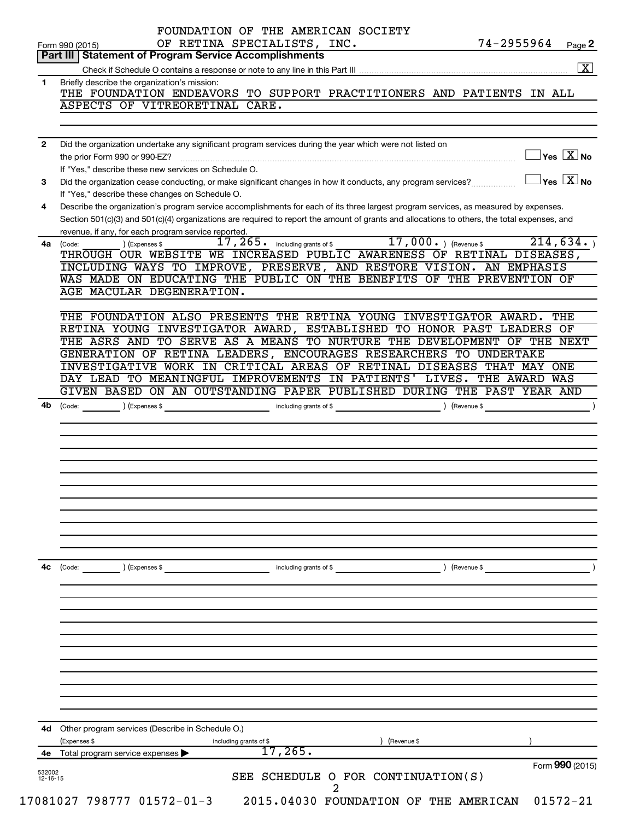|                                | OF RETINA SPECIALISTS, INC.<br>74-2955964<br>Page 2<br>Form 990 (2015)<br>Part III   Statement of Program Service Accomplishments                                                                    |
|--------------------------------|------------------------------------------------------------------------------------------------------------------------------------------------------------------------------------------------------|
|                                | $\boxed{\text{X}}$                                                                                                                                                                                   |
| 1                              | Briefly describe the organization's mission:                                                                                                                                                         |
|                                | THE FOUNDATION ENDEAVORS TO SUPPORT PRACTITIONERS AND PATIENTS IN ALL                                                                                                                                |
|                                | ASPECTS OF VITREORETINAL CARE.                                                                                                                                                                       |
|                                |                                                                                                                                                                                                      |
| $\mathbf{2}$                   | Did the organization undertake any significant program services during the year which were not listed on                                                                                             |
|                                | $\Box$ Yes $[\overline{\mathrm{X}}]$ No<br>If "Yes," describe these new services on Schedule O.                                                                                                      |
| 3                              | $\Box$ Yes $~\boxed{\text{X}}$ No<br>Did the organization cease conducting, or make significant changes in how it conducts, any program services?<br>If "Yes," describe these changes on Schedule O. |
| 4                              | Describe the organization's program service accomplishments for each of its three largest program services, as measured by expenses.                                                                 |
|                                | Section 501(c)(3) and 501(c)(4) organizations are required to report the amount of grants and allocations to others, the total expenses, and<br>revenue, if any, for each program service reported.  |
|                                | 17, 265. including grants of \$17, 000. ) (Revenue \$<br>214,634.<br>) (Expenses \$<br>4a (Code:                                                                                                     |
|                                | THROUGH OUR WEBSITE WE INCREASED PUBLIC AWARENESS OF RETINAL DISEASES,                                                                                                                               |
|                                | INCLUDING WAYS TO IMPROVE, PRESERVE, AND RESTORE VISION. AN EMPHASIS                                                                                                                                 |
|                                | WAS MADE ON EDUCATING THE PUBLIC ON THE BENEFITS OF THE PREVENTION OF                                                                                                                                |
|                                | AGE MACULAR DEGENERATION.                                                                                                                                                                            |
|                                | THE FOUNDATION ALSO PRESENTS THE RETINA YOUNG INVESTIGATOR AWARD.<br>THE                                                                                                                             |
|                                | RETINA YOUNG INVESTIGATOR AWARD, ESTABLISHED TO HONOR PAST LEADERS OF                                                                                                                                |
|                                | THE ASRS AND TO SERVE AS A MEANS TO NURTURE THE DEVELOPMENT OF THE NEXT                                                                                                                              |
|                                | GENERATION OF RETINA LEADERS, ENCOURAGES RESEARCHERS TO UNDERTAKE                                                                                                                                    |
|                                | INVESTIGATIVE WORK IN CRITICAL AREAS OF RETINAL DISEASES THAT MAY<br>ONE                                                                                                                             |
|                                | DAY LEAD TO MEANINGFUL IMPROVEMENTS IN PATIENTS' LIVES. THE AWARD WAS                                                                                                                                |
|                                | GIVEN BASED ON AN OUTSTANDING PAPER PUBLISHED DURING THE PAST YEAR AND                                                                                                                               |
|                                |                                                                                                                                                                                                      |
|                                |                                                                                                                                                                                                      |
|                                |                                                                                                                                                                                                      |
| 4с                             | ) (Revenue \$<br>(Code: ) (Expenses \$<br>including grants of \$                                                                                                                                     |
|                                |                                                                                                                                                                                                      |
|                                |                                                                                                                                                                                                      |
|                                |                                                                                                                                                                                                      |
|                                |                                                                                                                                                                                                      |
|                                |                                                                                                                                                                                                      |
|                                |                                                                                                                                                                                                      |
|                                |                                                                                                                                                                                                      |
|                                | 4d Other program services (Describe in Schedule O.)                                                                                                                                                  |
|                                | (Expenses \$<br>Revenue \$<br>including grants of \$                                                                                                                                                 |
| 4е<br>532002<br>$12 - 16 - 15$ | 17,265.<br>Total program service expenses<br>Form 990 (2015)<br>SEE SCHEDULE O FOR CONTINUATION(S)                                                                                                   |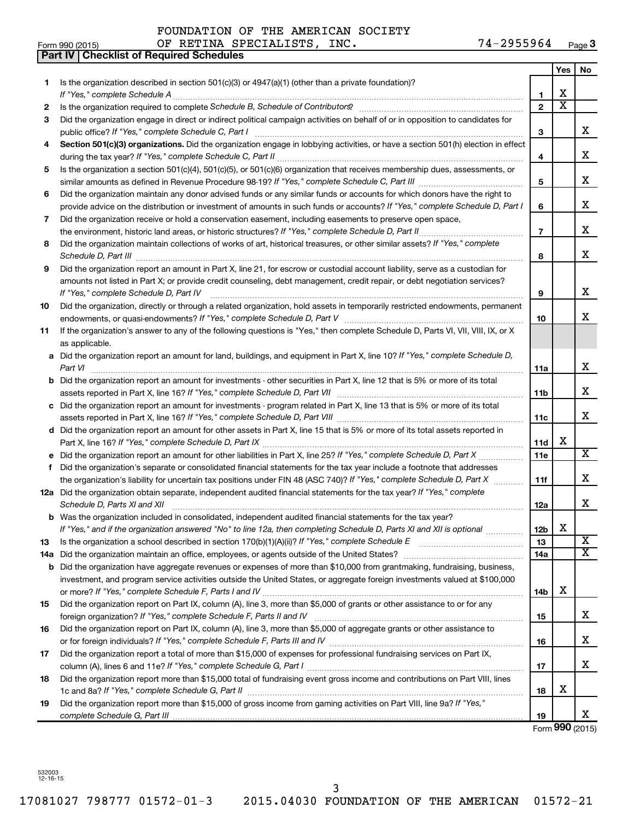|    | Part IV   Checklist of Required Schedules                                                                                                                                                                                           |                 |                         |                         |
|----|-------------------------------------------------------------------------------------------------------------------------------------------------------------------------------------------------------------------------------------|-----------------|-------------------------|-------------------------|
|    |                                                                                                                                                                                                                                     |                 | Yes                     | No                      |
| 1. | Is the organization described in section 501(c)(3) or $4947(a)(1)$ (other than a private foundation)?                                                                                                                               |                 |                         |                         |
|    |                                                                                                                                                                                                                                     | 1               | х                       |                         |
| 2  |                                                                                                                                                                                                                                     | $\overline{2}$  | $\overline{\textbf{x}}$ |                         |
| З  | Did the organization engage in direct or indirect political campaign activities on behalf of or in opposition to candidates for                                                                                                     |                 |                         |                         |
|    |                                                                                                                                                                                                                                     | 3               |                         | x                       |
| 4  | Section 501(c)(3) organizations. Did the organization engage in lobbying activities, or have a section 501(h) election in effect                                                                                                    |                 |                         |                         |
|    |                                                                                                                                                                                                                                     | 4               |                         | x                       |
| 5  | Is the organization a section 501(c)(4), 501(c)(5), or 501(c)(6) organization that receives membership dues, assessments, or                                                                                                        |                 |                         |                         |
|    |                                                                                                                                                                                                                                     | 5               |                         | x                       |
| 6  | Did the organization maintain any donor advised funds or any similar funds or accounts for which donors have the right to                                                                                                           |                 |                         |                         |
|    | provide advice on the distribution or investment of amounts in such funds or accounts? If "Yes," complete Schedule D, Part I                                                                                                        | 6               |                         | x                       |
| 7  | Did the organization receive or hold a conservation easement, including easements to preserve open space,                                                                                                                           |                 |                         |                         |
|    | the environment, historic land areas, or historic structures? If "Yes," complete Schedule D, Part II                                                                                                                                | $\overline{7}$  |                         | x                       |
| 8  | Did the organization maintain collections of works of art, historical treasures, or other similar assets? If "Yes," complete                                                                                                        |                 |                         |                         |
|    |                                                                                                                                                                                                                                     | 8               |                         | x                       |
| 9  | Did the organization report an amount in Part X, line 21, for escrow or custodial account liability, serve as a custodian for                                                                                                       |                 |                         |                         |
|    | amounts not listed in Part X; or provide credit counseling, debt management, credit repair, or debt negotiation services?                                                                                                           |                 |                         |                         |
|    | If "Yes," complete Schedule D, Part IV                                                                                                                                                                                              | 9               |                         | x                       |
| 10 | Did the organization, directly or through a related organization, hold assets in temporarily restricted endowments, permanent                                                                                                       |                 |                         |                         |
|    |                                                                                                                                                                                                                                     | 10              |                         | x                       |
| 11 | If the organization's answer to any of the following questions is "Yes," then complete Schedule D, Parts VI, VII, VIII, IX, or X                                                                                                    |                 |                         |                         |
|    | as applicable.                                                                                                                                                                                                                      |                 |                         |                         |
|    | a Did the organization report an amount for land, buildings, and equipment in Part X, line 10? If "Yes," complete Schedule D,                                                                                                       |                 |                         |                         |
|    | Part VI                                                                                                                                                                                                                             | 11a             |                         | х                       |
|    | <b>b</b> Did the organization report an amount for investments - other securities in Part X, line 12 that is 5% or more of its total                                                                                                |                 |                         |                         |
|    |                                                                                                                                                                                                                                     | 11 <sub>b</sub> |                         | х                       |
|    | c Did the organization report an amount for investments - program related in Part X, line 13 that is 5% or more of its total                                                                                                        |                 |                         |                         |
|    |                                                                                                                                                                                                                                     | 11c             |                         | x                       |
|    | d Did the organization report an amount for other assets in Part X, line 15 that is 5% or more of its total assets reported in                                                                                                      |                 |                         |                         |
|    |                                                                                                                                                                                                                                     | 11d             | х                       |                         |
|    | e Did the organization report an amount for other liabilities in Part X, line 25? If "Yes," complete Schedule D, Part X                                                                                                             | 11e             |                         | X                       |
| f  | Did the organization's separate or consolidated financial statements for the tax year include a footnote that addresses                                                                                                             |                 |                         |                         |
|    | the organization's liability for uncertain tax positions under FIN 48 (ASC 740)? If "Yes," complete Schedule D, Part X                                                                                                              | 11f             |                         | х                       |
|    | 12a Did the organization obtain separate, independent audited financial statements for the tax year? If "Yes," complete                                                                                                             |                 |                         |                         |
|    | Schedule D, Parts XI and XII <b>continuum continuum continuum continuum continuum continuum continuum continuum</b> continuum continuum continuum continuum continuum continuum continuum continuum continuum continuum continuum c | 12a             |                         | x                       |
|    | b Was the organization included in consolidated, independent audited financial statements for the tax year?                                                                                                                         |                 |                         |                         |
|    | If "Yes," and if the organization answered "No" to line 12a, then completing Schedule D, Parts XI and XII is optional                                                                                                               | 12 <sub>b</sub> | х                       |                         |
| 13 |                                                                                                                                                                                                                                     | 13              |                         | х                       |
|    | 14a Did the organization maintain an office, employees, or agents outside of the United States?                                                                                                                                     | 14a             |                         | $\overline{\mathbf{x}}$ |
|    | <b>b</b> Did the organization have aggregate revenues or expenses of more than \$10,000 from grantmaking, fundraising, business,                                                                                                    |                 |                         |                         |
|    | investment, and program service activities outside the United States, or aggregate foreign investments valued at \$100,000                                                                                                          |                 |                         |                         |
|    |                                                                                                                                                                                                                                     | 14b             | х                       |                         |
| 15 | Did the organization report on Part IX, column (A), line 3, more than \$5,000 of grants or other assistance to or for any                                                                                                           |                 |                         |                         |
|    |                                                                                                                                                                                                                                     | 15              |                         | x                       |
| 16 | Did the organization report on Part IX, column (A), line 3, more than \$5,000 of aggregate grants or other assistance to                                                                                                            |                 |                         |                         |
|    |                                                                                                                                                                                                                                     | 16              |                         | x                       |
| 17 | Did the organization report a total of more than \$15,000 of expenses for professional fundraising services on Part IX,                                                                                                             |                 |                         |                         |
|    |                                                                                                                                                                                                                                     | 17              |                         | x                       |
| 18 | Did the organization report more than \$15,000 total of fundraising event gross income and contributions on Part VIII, lines                                                                                                        |                 |                         |                         |
|    |                                                                                                                                                                                                                                     | 18              | х                       |                         |
| 19 | Did the organization report more than \$15,000 of gross income from gaming activities on Part VIII, line 9a? If "Yes,"                                                                                                              |                 |                         |                         |
|    |                                                                                                                                                                                                                                     | 19              |                         | X.                      |
|    |                                                                                                                                                                                                                                     |                 |                         |                         |

Form **990** (2015)

532003 12-16-15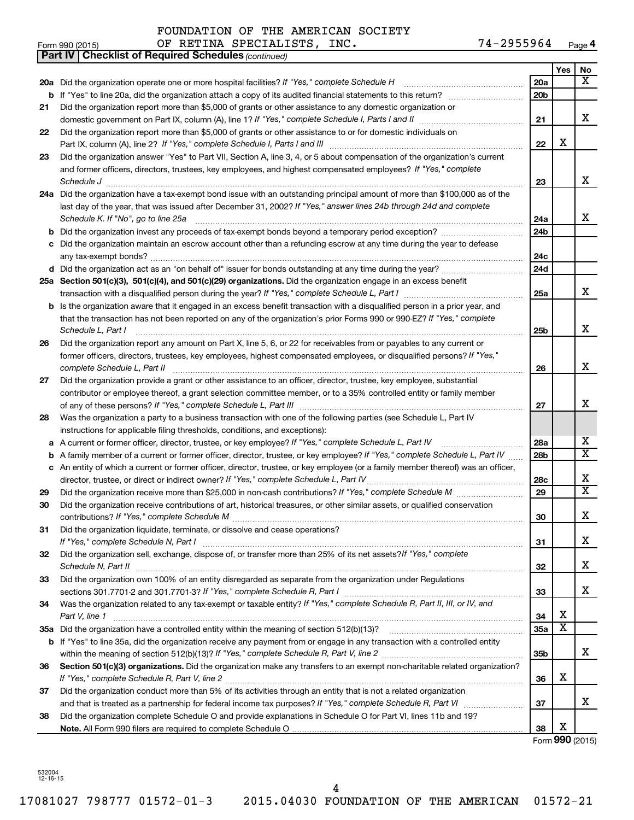|    | <b>Part IV   Checklist of Required Schedules (continued)</b>                                                                      |                 |                         |                         |
|----|-----------------------------------------------------------------------------------------------------------------------------------|-----------------|-------------------------|-------------------------|
|    |                                                                                                                                   |                 | Yes                     | No                      |
|    | 20a Did the organization operate one or more hospital facilities? If "Yes," complete Schedule H                                   | 20a             |                         | $\overline{\mathbf{x}}$ |
|    | <b>b</b> If "Yes" to line 20a, did the organization attach a copy of its audited financial statements to this return?             | 20 <sub>b</sub> |                         |                         |
| 21 | Did the organization report more than \$5,000 of grants or other assistance to any domestic organization or                       |                 |                         |                         |
|    | domestic government on Part IX, column (A), line 1? If "Yes," complete Schedule I, Parts I and II                                 | 21              |                         | X                       |
| 22 | Did the organization report more than \$5,000 of grants or other assistance to or for domestic individuals on                     |                 |                         |                         |
|    |                                                                                                                                   | 22              | X                       |                         |
| 23 | Did the organization answer "Yes" to Part VII, Section A, line 3, 4, or 5 about compensation of the organization's current        |                 |                         |                         |
|    | and former officers, directors, trustees, key employees, and highest compensated employees? If "Yes," complete                    |                 |                         |                         |
|    | Schedule J <b>Martin Martin Communication Communication</b> Contract of Technical Communication Communication Communication       | 23              |                         | X                       |
|    | 24a Did the organization have a tax-exempt bond issue with an outstanding principal amount of more than \$100,000 as of the       |                 |                         |                         |
|    | last day of the year, that was issued after December 31, 2002? If "Yes," answer lines 24b through 24d and complete                |                 |                         |                         |
|    | Schedule K. If "No", go to line 25a                                                                                               | 24a             |                         | x                       |
| b  | Did the organization invest any proceeds of tax-exempt bonds beyond a temporary period exception?                                 | 24 <sub>b</sub> |                         |                         |
| с  | Did the organization maintain an escrow account other than a refunding escrow at any time during the year to defease              |                 |                         |                         |
|    |                                                                                                                                   | 24c             |                         |                         |
|    | d Did the organization act as an "on behalf of" issuer for bonds outstanding at any time during the year?                         | 24d             |                         |                         |
|    | 25a Section 501(c)(3), 501(c)(4), and 501(c)(29) organizations. Did the organization engage in an excess benefit                  | 25a             |                         | x                       |
|    | b Is the organization aware that it engaged in an excess benefit transaction with a disqualified person in a prior year, and      |                 |                         |                         |
|    | that the transaction has not been reported on any of the organization's prior Forms 990 or 990-EZ? If "Yes," complete             |                 |                         |                         |
|    | Schedule L, Part I                                                                                                                | 25 <sub>b</sub> |                         | x                       |
| 26 | Did the organization report any amount on Part X, line 5, 6, or 22 for receivables from or payables to any current or             |                 |                         |                         |
|    | former officers, directors, trustees, key employees, highest compensated employees, or disqualified persons? If "Yes,"            |                 |                         |                         |
|    | complete Schedule L, Part II                                                                                                      | 26              |                         | X                       |
| 27 | Did the organization provide a grant or other assistance to an officer, director, trustee, key employee, substantial              |                 |                         |                         |
|    | contributor or employee thereof, a grant selection committee member, or to a 35% controlled entity or family member               |                 |                         |                         |
|    |                                                                                                                                   | 27              |                         | X                       |
| 28 | Was the organization a party to a business transaction with one of the following parties (see Schedule L, Part IV                 |                 |                         |                         |
|    | instructions for applicable filing thresholds, conditions, and exceptions):                                                       |                 |                         |                         |
| а  | A current or former officer, director, trustee, or key employee? If "Yes," complete Schedule L, Part IV                           | 28a             |                         | х                       |
| b  | A family member of a current or former officer, director, trustee, or key employee? If "Yes," complete Schedule L, Part IV        | 28 <sub>b</sub> |                         | $\overline{\mathbf{x}}$ |
|    | c An entity of which a current or former officer, director, trustee, or key employee (or a family member thereof) was an officer, |                 |                         |                         |
|    | director, trustee, or direct or indirect owner? If "Yes," complete Schedule L, Part IV                                            | 28c             |                         | X                       |
| 29 | Did the organization receive more than \$25,000 in non-cash contributions? If "Yes," complete Schedule M                          | 29              |                         | $\overline{\mathbf{X}}$ |
| 30 | Did the organization receive contributions of art, historical treasures, or other similar assets, or qualified conservation       |                 |                         | X                       |
|    |                                                                                                                                   | 30              |                         |                         |
| 31 | Did the organization liquidate, terminate, or dissolve and cease operations?                                                      | 31              |                         | х                       |
| 32 | Did the organization sell, exchange, dispose of, or transfer more than 25% of its net assets? If "Yes," complete                  |                 |                         |                         |
|    |                                                                                                                                   | 32              |                         | x                       |
| 33 | Did the organization own 100% of an entity disregarded as separate from the organization under Regulations                        |                 |                         |                         |
|    |                                                                                                                                   | 33              |                         | x                       |
| 34 | Was the organization related to any tax-exempt or taxable entity? If "Yes," complete Schedule R, Part II, III, or IV, and         |                 |                         |                         |
|    | Part V, line 1                                                                                                                    | 34              | X                       |                         |
|    |                                                                                                                                   | 35a             | $\overline{\textbf{x}}$ |                         |
|    | b If "Yes" to line 35a, did the organization receive any payment from or engage in any transaction with a controlled entity       |                 |                         |                         |
|    |                                                                                                                                   | 35b             |                         | x                       |
| 36 | Section 501(c)(3) organizations. Did the organization make any transfers to an exempt non-charitable related organization?        |                 |                         |                         |
|    |                                                                                                                                   | 36              | х                       |                         |
| 37 | Did the organization conduct more than 5% of its activities through an entity that is not a related organization                  |                 |                         |                         |
|    |                                                                                                                                   | 37              |                         | x                       |
| 38 | Did the organization complete Schedule O and provide explanations in Schedule O for Part VI, lines 11b and 19?                    |                 | X                       |                         |
|    |                                                                                                                                   | 38              |                         | Form 990 (2015)         |

Form **990** (2015)

532004 12-16-15

Form 990 (2015) OF RETINA SPECIALISTS , INC .  $74-2955964$  Page 74-2955964 Page 4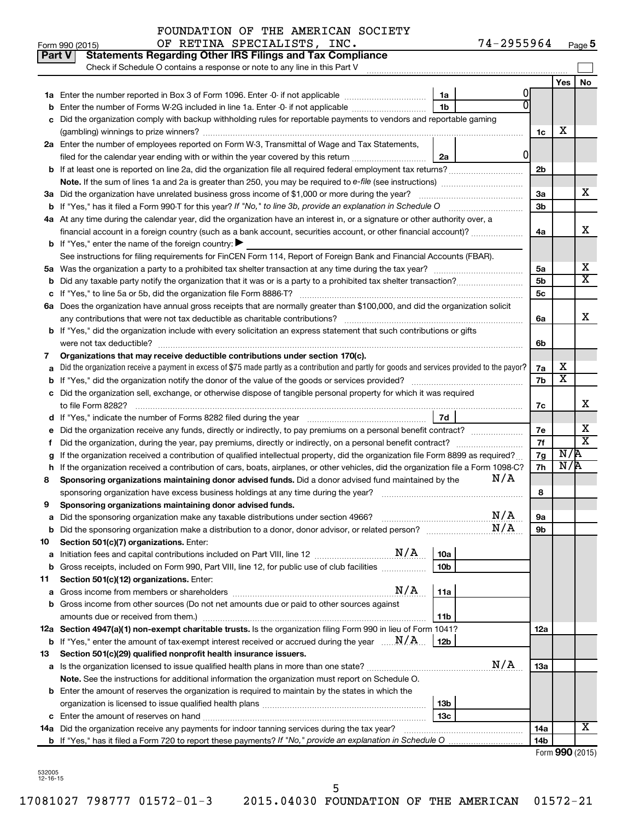| Part V | <b>Statements Regarding Other IRS Filings and Tax Compliance</b><br>Check if Schedule O contains a response or note to any line in this Part V                                  |     |                |                         |                         |  |  |
|--------|---------------------------------------------------------------------------------------------------------------------------------------------------------------------------------|-----|----------------|-------------------------|-------------------------|--|--|
|        |                                                                                                                                                                                 |     |                | Yes                     | <b>No</b>               |  |  |
|        | 1a                                                                                                                                                                              |     |                |                         |                         |  |  |
|        | 1 <sub>b</sub><br>Enter the number of Forms W-2G included in line 1a. Enter -0- if not applicable                                                                               |     |                |                         |                         |  |  |
|        | Did the organization comply with backup withholding rules for reportable payments to vendors and reportable gaming                                                              |     |                |                         |                         |  |  |
|        |                                                                                                                                                                                 |     | 1c             | х                       |                         |  |  |
|        | 2a Enter the number of employees reported on Form W-3, Transmittal of Wage and Tax Statements,                                                                                  |     |                |                         |                         |  |  |
|        | filed for the calendar year ending with or within the year covered by this return <i>[[[[[[[[[[[[[]]]</i> ]]<br>2a                                                              | 0   |                |                         |                         |  |  |
|        | <b>b</b> If at least one is reported on line 2a, did the organization file all required federal employment tax returns?                                                         |     | 2 <sub>b</sub> |                         |                         |  |  |
|        |                                                                                                                                                                                 |     |                |                         | x                       |  |  |
|        | 3a Did the organization have unrelated business gross income of \$1,000 or more during the year?                                                                                |     |                |                         |                         |  |  |
|        | <b>b</b> If "Yes," has it filed a Form 990-T for this year? If "No," to line 3b, provide an explanation in Schedule O                                                           |     | 3b             |                         |                         |  |  |
|        | 4a At any time during the calendar year, did the organization have an interest in, or a signature or other authority over, a                                                    |     |                |                         |                         |  |  |
|        | financial account in a foreign country (such as a bank account, securities account, or other financial account)?                                                                |     | 4a             |                         | x                       |  |  |
|        | <b>b</b> If "Yes," enter the name of the foreign country: $\blacktriangleright$                                                                                                 |     |                |                         |                         |  |  |
|        | See instructions for filing requirements for FinCEN Form 114, Report of Foreign Bank and Financial Accounts (FBAR).                                                             |     |                |                         |                         |  |  |
| 5а     |                                                                                                                                                                                 |     | 5a             |                         | x                       |  |  |
|        |                                                                                                                                                                                 |     | 5 <sub>b</sub> |                         | $\overline{\mathtt{x}}$ |  |  |
|        |                                                                                                                                                                                 |     | 5c             |                         |                         |  |  |
|        | 6a Does the organization have annual gross receipts that are normally greater than \$100,000, and did the organization solicit                                                  |     |                |                         |                         |  |  |
|        |                                                                                                                                                                                 |     | 6a             |                         | x                       |  |  |
|        | b If "Yes," did the organization include with every solicitation an express statement that such contributions or gifts                                                          |     |                |                         |                         |  |  |
|        | were not tax deductible?                                                                                                                                                        |     | 6b             |                         |                         |  |  |
| 7      | Organizations that may receive deductible contributions under section 170(c).                                                                                                   |     |                | х                       |                         |  |  |
|        | Did the organization receive a payment in excess of \$75 made partly as a contribution and partly for goods and services provided to the payor?                                 |     | 7a             | $\overline{\textbf{x}}$ |                         |  |  |
|        |                                                                                                                                                                                 |     | 7b             |                         |                         |  |  |
|        | Did the organization sell, exchange, or otherwise dispose of tangible personal property for which it was required                                                               |     |                |                         | x                       |  |  |
|        | 7d                                                                                                                                                                              |     | 7c             |                         |                         |  |  |
|        |                                                                                                                                                                                 |     | 7е             |                         | x                       |  |  |
| Ť.     | Did the organization, during the year, pay premiums, directly or indirectly, on a personal benefit contract?                                                                    |     | 7f             |                         | $\overline{\mathtt{x}}$ |  |  |
|        | If the organization received a contribution of qualified intellectual property, did the organization file Form 8899 as required?                                                |     | 7g             | $N/\overline{A}$        |                         |  |  |
| h      | If the organization received a contribution of cars, boats, airplanes, or other vehicles, did the organization file a Form 1098-C?                                              |     | 7h             | N/R                     |                         |  |  |
| 8      | N/A<br>Sponsoring organizations maintaining donor advised funds. Did a donor advised fund maintained by the                                                                     |     |                |                         |                         |  |  |
|        | sponsoring organization have excess business holdings at any time during the year?                                                                                              |     | 8              |                         |                         |  |  |
| 9      | Sponsoring organizations maintaining donor advised funds.                                                                                                                       |     |                |                         |                         |  |  |
|        |                                                                                                                                                                                 | N/A | υа             |                         |                         |  |  |
|        | <b>b</b> Did the sponsoring organization make a distribution to a donor, donor advisor, or related person?                                                                      | N/A | 9b             |                         |                         |  |  |
| 10     | Section 501(c)(7) organizations. Enter:                                                                                                                                         |     |                |                         |                         |  |  |
| a      | N/A<br>10a<br>Initiation fees and capital contributions included on Part VIII, line 12 [111] [12] [11] Initiation fees and capital contributions included on Part VIII, line 12 |     |                |                         |                         |  |  |
|        | 10 <sub>b</sub><br>b Gross receipts, included on Form 990, Part VIII, line 12, for public use of club facilities                                                                |     |                |                         |                         |  |  |
| 11     | Section 501(c)(12) organizations. Enter:                                                                                                                                        |     |                |                         |                         |  |  |
| а      | N/A<br>11a<br>Gross income from members or shareholders                                                                                                                         |     |                |                         |                         |  |  |
|        | b Gross income from other sources (Do not net amounts due or paid to other sources against                                                                                      |     |                |                         |                         |  |  |
|        | 11b<br>amounts due or received from them.)                                                                                                                                      |     |                |                         |                         |  |  |
|        | 12a Section 4947(a)(1) non-exempt charitable trusts. Is the organization filing Form 990 in lieu of Form 1041?                                                                  |     | 12a            |                         |                         |  |  |
|        | <b>b</b> If "Yes," enter the amount of tax-exempt interest received or accrued during the year $\ldots$ $M/A$ .<br>12b                                                          |     |                |                         |                         |  |  |
| 13     | Section 501(c)(29) qualified nonprofit health insurance issuers.                                                                                                                |     |                |                         |                         |  |  |
|        | a Is the organization licensed to issue qualified health plans in more than one state?                                                                                          | N/A | 1За            |                         |                         |  |  |
|        | Note. See the instructions for additional information the organization must report on Schedule O.                                                                               |     |                |                         |                         |  |  |
|        | <b>b</b> Enter the amount of reserves the organization is required to maintain by the states in which the                                                                       |     |                |                         |                         |  |  |
|        | 13 <sub>b</sub>                                                                                                                                                                 |     |                |                         |                         |  |  |
|        | 13c                                                                                                                                                                             |     |                |                         | X                       |  |  |
|        | 14a Did the organization receive any payments for indoor tanning services during the tax year?                                                                                  |     | 14a<br>14b     |                         |                         |  |  |
|        | <b>b</b> If "Yes," has it filed a Form 720 to report these payments? If "No," provide an explanation in Schedule O                                                              |     |                |                         |                         |  |  |

Form (2015) **990**

532005 12-16-15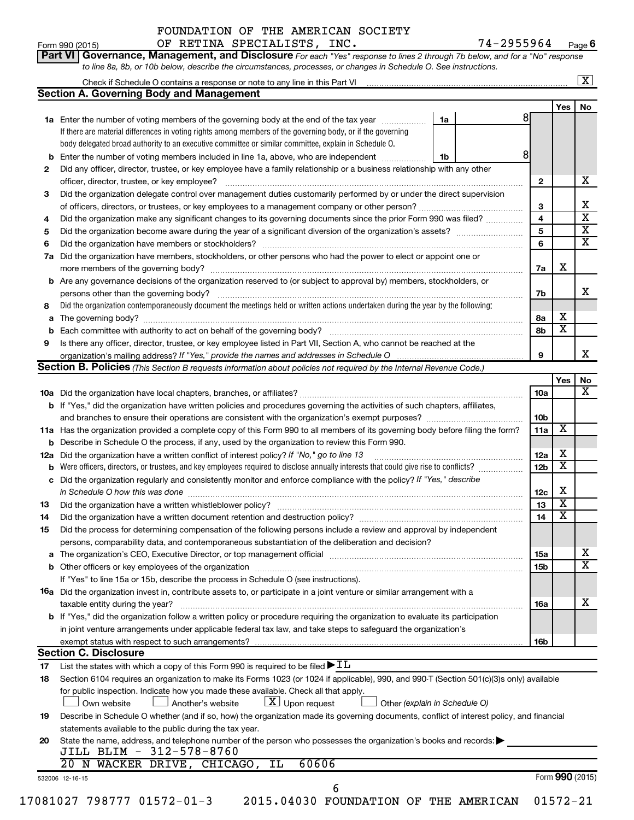*to line 8a, 8b, or 10b below, describe the circumstances, processes, or changes in Schedule O. See instructions.*

**Part VI** Governance, Management, and Disclosure For each "Yes" response to lines 2 through 7b below, and for a "No" response

| <b>Section A. Governing Body and Management</b><br>Yes<br>8<br>1a Enter the number of voting members of the governing body at the end of the tax year<br>1a<br>If there are material differences in voting rights among members of the governing body, or if the governing<br>body delegated broad authority to an executive committee or similar committee, explain in Schedule O.<br>8<br>Enter the number of voting members included in line 1a, above, who are independent<br>1b<br>b<br>Did any officer, director, trustee, or key employee have a family relationship or a business relationship with any other<br>2<br>x<br>officer, director, trustee, or key employee?<br>$\mathbf{2}$<br>Did the organization delegate control over management duties customarily performed by or under the direct supervision<br>3<br>х<br>3<br>$\overline{\textbf{x}}$<br>$\overline{\mathbf{4}}$<br>Did the organization make any significant changes to its governing documents since the prior Form 990 was filed?<br>4<br>$\overline{\textbf{x}}$<br>5<br>5<br>$\overline{\textbf{x}}$<br>6<br>6<br>Did the organization have members, stockholders, or other persons who had the power to elect or appoint one or<br>7a<br>х<br>7a<br><b>b</b> Are any governance decisions of the organization reserved to (or subject to approval by) members, stockholders, or<br>x<br>7b<br>Did the organization contemporaneously document the meetings held or written actions undertaken during the year by the following:<br>8<br>х<br>8а<br>а<br>$\overline{\textbf{x}}$<br>8b<br>b<br>Is there any officer, director, trustee, or key employee listed in Part VII, Section A, who cannot be reached at the<br>9<br>x<br>9<br>Section B. Policies (This Section B requests information about policies not required by the Internal Revenue Code.)<br>No<br>Yes<br>х<br>10a<br>b If "Yes," did the organization have written policies and procedures governing the activities of such chapters, affiliates,<br>10 <sub>b</sub><br>X<br>11a<br>11a Has the organization provided a complete copy of this Form 990 to all members of its governing body before filing the form?<br><b>b</b> Describe in Schedule O the process, if any, used by the organization to review this Form 990.<br>х<br>12a Did the organization have a written conflict of interest policy? If "No," go to line 13<br>12a<br>$\overline{\textbf{x}}$<br>Were officers, directors, or trustees, and key employees required to disclose annually interests that could give rise to conflicts?<br>12 <sub>b</sub><br>b<br>c Did the organization regularly and consistently monitor and enforce compliance with the policy? If "Yes," describe<br>х<br>in Schedule O how this was done manufactured and continuum and contact the was done manufactured and contact t<br>12c<br>$\overline{\textbf{x}}$<br>13<br>13<br>$\overline{\textbf{x}}$<br>14<br>14<br>Did the process for determining compensation of the following persons include a review and approval by independent<br>15<br>persons, comparability data, and contemporaneous substantiation of the deliberation and decision?<br>х<br>15a<br>$\overline{\texttt{x}}$<br>15b<br>If "Yes" to line 15a or 15b, describe the process in Schedule O (see instructions).<br><b>16a</b> Did the organization invest in, contribute assets to, or participate in a joint venture or similar arrangement with a<br>х<br>taxable entity during the year?<br>16a<br><b>b</b> If "Yes," did the organization follow a written policy or procedure requiring the organization to evaluate its participation<br>in joint venture arrangements under applicable federal tax law, and take steps to safeguard the organization's<br>exempt status with respect to such arrangements?<br>16b<br><b>Section C. Disclosure</b><br>List the states with which a copy of this Form 990 is required to be filed $\blacktriangleright$ IL<br>17<br>Section 6104 requires an organization to make its Forms 1023 (or 1024 if applicable), 990, and 990-T (Section 501(c)(3)s only) available<br>18<br>for public inspection. Indicate how you made these available. Check all that apply.<br>$ \underline{X} $ Upon request<br>Another's website<br>Other (explain in Schedule O)<br>Own website<br>Describe in Schedule O whether (and if so, how) the organization made its governing documents, conflict of interest policy, and financial<br>19<br>statements available to the public during the tax year.<br>State the name, address, and telephone number of the person who possesses the organization's books and records:<br>20<br>JILL BLIM - 312-578-8760<br>60606<br>20 N WACKER DRIVE, CHICAGO, IL | Check if Schedule O contains a response or note to any line in this Part VI [11] [12] Check if Schedule O contains a response or note to any line in this Part VI |  |  | $\overline{\mathbf{x}}$ |  |
|---------------------------------------------------------------------------------------------------------------------------------------------------------------------------------------------------------------------------------------------------------------------------------------------------------------------------------------------------------------------------------------------------------------------------------------------------------------------------------------------------------------------------------------------------------------------------------------------------------------------------------------------------------------------------------------------------------------------------------------------------------------------------------------------------------------------------------------------------------------------------------------------------------------------------------------------------------------------------------------------------------------------------------------------------------------------------------------------------------------------------------------------------------------------------------------------------------------------------------------------------------------------------------------------------------------------------------------------------------------------------------------------------------------------------------------------------------------------------------------------------------------------------------------------------------------------------------------------------------------------------------------------------------------------------------------------------------------------------------------------------------------------------------------------------------------------------------------------------------------------------------------------------------------------------------------------------------------------------------------------------------------------------------------------------------------------------------------------------------------------------------------------------------------------------------------------------------------------------------------------------------------------------------------------------------------------------------------------------------------------------------------------------------------------------------------------------------------------------------------------------------------------------------------------------------------------------------------------------------------------------------------------------------------------------------------------------------------------------------------------------------------------------------------------------------------------------------------------------------------------------------------------------------------------------------------------------------------------------------------------------------------------------------------------------------------------------------------------------------------------------------------------------------------------------------------------------------------------------------------------------------------------------------------------------------------------------------------------------------------------------------------------------------------------------------------------------------------------------------------------------------------------------------------------------------------------------------------------------------------------------------------------------------------------------------------------------------------------------------------------------------------------------------------------------------------------------------------------------------------------------------------------------------------------------------------------------------------------------------------------------------------------------------------------------------------------------------------------------------------------------------------------------------------------------------------------------------------------------------------------------------------------------------------------------------------------------------------------------------------------------------------------------------------------------------------------------------------------------------------------------------------------------------------------------------------------------------------------------------------------------------------------------------------------------------------------------------------------|-------------------------------------------------------------------------------------------------------------------------------------------------------------------|--|--|-------------------------|--|
|                                                                                                                                                                                                                                                                                                                                                                                                                                                                                                                                                                                                                                                                                                                                                                                                                                                                                                                                                                                                                                                                                                                                                                                                                                                                                                                                                                                                                                                                                                                                                                                                                                                                                                                                                                                                                                                                                                                                                                                                                                                                                                                                                                                                                                                                                                                                                                                                                                                                                                                                                                                                                                                                                                                                                                                                                                                                                                                                                                                                                                                                                                                                                                                                                                                                                                                                                                                                                                                                                                                                                                                                                                                                                                                                                                                                                                                                                                                                                                                                                                                                                                                                                                                                                                                                                                                                                                                                                                                                                                                                                                                                                                                                                                                     |                                                                                                                                                                   |  |  |                         |  |
|                                                                                                                                                                                                                                                                                                                                                                                                                                                                                                                                                                                                                                                                                                                                                                                                                                                                                                                                                                                                                                                                                                                                                                                                                                                                                                                                                                                                                                                                                                                                                                                                                                                                                                                                                                                                                                                                                                                                                                                                                                                                                                                                                                                                                                                                                                                                                                                                                                                                                                                                                                                                                                                                                                                                                                                                                                                                                                                                                                                                                                                                                                                                                                                                                                                                                                                                                                                                                                                                                                                                                                                                                                                                                                                                                                                                                                                                                                                                                                                                                                                                                                                                                                                                                                                                                                                                                                                                                                                                                                                                                                                                                                                                                                                     |                                                                                                                                                                   |  |  | No                      |  |
|                                                                                                                                                                                                                                                                                                                                                                                                                                                                                                                                                                                                                                                                                                                                                                                                                                                                                                                                                                                                                                                                                                                                                                                                                                                                                                                                                                                                                                                                                                                                                                                                                                                                                                                                                                                                                                                                                                                                                                                                                                                                                                                                                                                                                                                                                                                                                                                                                                                                                                                                                                                                                                                                                                                                                                                                                                                                                                                                                                                                                                                                                                                                                                                                                                                                                                                                                                                                                                                                                                                                                                                                                                                                                                                                                                                                                                                                                                                                                                                                                                                                                                                                                                                                                                                                                                                                                                                                                                                                                                                                                                                                                                                                                                                     |                                                                                                                                                                   |  |  |                         |  |
|                                                                                                                                                                                                                                                                                                                                                                                                                                                                                                                                                                                                                                                                                                                                                                                                                                                                                                                                                                                                                                                                                                                                                                                                                                                                                                                                                                                                                                                                                                                                                                                                                                                                                                                                                                                                                                                                                                                                                                                                                                                                                                                                                                                                                                                                                                                                                                                                                                                                                                                                                                                                                                                                                                                                                                                                                                                                                                                                                                                                                                                                                                                                                                                                                                                                                                                                                                                                                                                                                                                                                                                                                                                                                                                                                                                                                                                                                                                                                                                                                                                                                                                                                                                                                                                                                                                                                                                                                                                                                                                                                                                                                                                                                                                     |                                                                                                                                                                   |  |  |                         |  |
|                                                                                                                                                                                                                                                                                                                                                                                                                                                                                                                                                                                                                                                                                                                                                                                                                                                                                                                                                                                                                                                                                                                                                                                                                                                                                                                                                                                                                                                                                                                                                                                                                                                                                                                                                                                                                                                                                                                                                                                                                                                                                                                                                                                                                                                                                                                                                                                                                                                                                                                                                                                                                                                                                                                                                                                                                                                                                                                                                                                                                                                                                                                                                                                                                                                                                                                                                                                                                                                                                                                                                                                                                                                                                                                                                                                                                                                                                                                                                                                                                                                                                                                                                                                                                                                                                                                                                                                                                                                                                                                                                                                                                                                                                                                     |                                                                                                                                                                   |  |  |                         |  |
|                                                                                                                                                                                                                                                                                                                                                                                                                                                                                                                                                                                                                                                                                                                                                                                                                                                                                                                                                                                                                                                                                                                                                                                                                                                                                                                                                                                                                                                                                                                                                                                                                                                                                                                                                                                                                                                                                                                                                                                                                                                                                                                                                                                                                                                                                                                                                                                                                                                                                                                                                                                                                                                                                                                                                                                                                                                                                                                                                                                                                                                                                                                                                                                                                                                                                                                                                                                                                                                                                                                                                                                                                                                                                                                                                                                                                                                                                                                                                                                                                                                                                                                                                                                                                                                                                                                                                                                                                                                                                                                                                                                                                                                                                                                     |                                                                                                                                                                   |  |  |                         |  |
|                                                                                                                                                                                                                                                                                                                                                                                                                                                                                                                                                                                                                                                                                                                                                                                                                                                                                                                                                                                                                                                                                                                                                                                                                                                                                                                                                                                                                                                                                                                                                                                                                                                                                                                                                                                                                                                                                                                                                                                                                                                                                                                                                                                                                                                                                                                                                                                                                                                                                                                                                                                                                                                                                                                                                                                                                                                                                                                                                                                                                                                                                                                                                                                                                                                                                                                                                                                                                                                                                                                                                                                                                                                                                                                                                                                                                                                                                                                                                                                                                                                                                                                                                                                                                                                                                                                                                                                                                                                                                                                                                                                                                                                                                                                     |                                                                                                                                                                   |  |  |                         |  |
|                                                                                                                                                                                                                                                                                                                                                                                                                                                                                                                                                                                                                                                                                                                                                                                                                                                                                                                                                                                                                                                                                                                                                                                                                                                                                                                                                                                                                                                                                                                                                                                                                                                                                                                                                                                                                                                                                                                                                                                                                                                                                                                                                                                                                                                                                                                                                                                                                                                                                                                                                                                                                                                                                                                                                                                                                                                                                                                                                                                                                                                                                                                                                                                                                                                                                                                                                                                                                                                                                                                                                                                                                                                                                                                                                                                                                                                                                                                                                                                                                                                                                                                                                                                                                                                                                                                                                                                                                                                                                                                                                                                                                                                                                                                     |                                                                                                                                                                   |  |  |                         |  |
|                                                                                                                                                                                                                                                                                                                                                                                                                                                                                                                                                                                                                                                                                                                                                                                                                                                                                                                                                                                                                                                                                                                                                                                                                                                                                                                                                                                                                                                                                                                                                                                                                                                                                                                                                                                                                                                                                                                                                                                                                                                                                                                                                                                                                                                                                                                                                                                                                                                                                                                                                                                                                                                                                                                                                                                                                                                                                                                                                                                                                                                                                                                                                                                                                                                                                                                                                                                                                                                                                                                                                                                                                                                                                                                                                                                                                                                                                                                                                                                                                                                                                                                                                                                                                                                                                                                                                                                                                                                                                                                                                                                                                                                                                                                     |                                                                                                                                                                   |  |  |                         |  |
|                                                                                                                                                                                                                                                                                                                                                                                                                                                                                                                                                                                                                                                                                                                                                                                                                                                                                                                                                                                                                                                                                                                                                                                                                                                                                                                                                                                                                                                                                                                                                                                                                                                                                                                                                                                                                                                                                                                                                                                                                                                                                                                                                                                                                                                                                                                                                                                                                                                                                                                                                                                                                                                                                                                                                                                                                                                                                                                                                                                                                                                                                                                                                                                                                                                                                                                                                                                                                                                                                                                                                                                                                                                                                                                                                                                                                                                                                                                                                                                                                                                                                                                                                                                                                                                                                                                                                                                                                                                                                                                                                                                                                                                                                                                     |                                                                                                                                                                   |  |  |                         |  |
|                                                                                                                                                                                                                                                                                                                                                                                                                                                                                                                                                                                                                                                                                                                                                                                                                                                                                                                                                                                                                                                                                                                                                                                                                                                                                                                                                                                                                                                                                                                                                                                                                                                                                                                                                                                                                                                                                                                                                                                                                                                                                                                                                                                                                                                                                                                                                                                                                                                                                                                                                                                                                                                                                                                                                                                                                                                                                                                                                                                                                                                                                                                                                                                                                                                                                                                                                                                                                                                                                                                                                                                                                                                                                                                                                                                                                                                                                                                                                                                                                                                                                                                                                                                                                                                                                                                                                                                                                                                                                                                                                                                                                                                                                                                     |                                                                                                                                                                   |  |  |                         |  |
|                                                                                                                                                                                                                                                                                                                                                                                                                                                                                                                                                                                                                                                                                                                                                                                                                                                                                                                                                                                                                                                                                                                                                                                                                                                                                                                                                                                                                                                                                                                                                                                                                                                                                                                                                                                                                                                                                                                                                                                                                                                                                                                                                                                                                                                                                                                                                                                                                                                                                                                                                                                                                                                                                                                                                                                                                                                                                                                                                                                                                                                                                                                                                                                                                                                                                                                                                                                                                                                                                                                                                                                                                                                                                                                                                                                                                                                                                                                                                                                                                                                                                                                                                                                                                                                                                                                                                                                                                                                                                                                                                                                                                                                                                                                     |                                                                                                                                                                   |  |  |                         |  |
|                                                                                                                                                                                                                                                                                                                                                                                                                                                                                                                                                                                                                                                                                                                                                                                                                                                                                                                                                                                                                                                                                                                                                                                                                                                                                                                                                                                                                                                                                                                                                                                                                                                                                                                                                                                                                                                                                                                                                                                                                                                                                                                                                                                                                                                                                                                                                                                                                                                                                                                                                                                                                                                                                                                                                                                                                                                                                                                                                                                                                                                                                                                                                                                                                                                                                                                                                                                                                                                                                                                                                                                                                                                                                                                                                                                                                                                                                                                                                                                                                                                                                                                                                                                                                                                                                                                                                                                                                                                                                                                                                                                                                                                                                                                     |                                                                                                                                                                   |  |  |                         |  |
|                                                                                                                                                                                                                                                                                                                                                                                                                                                                                                                                                                                                                                                                                                                                                                                                                                                                                                                                                                                                                                                                                                                                                                                                                                                                                                                                                                                                                                                                                                                                                                                                                                                                                                                                                                                                                                                                                                                                                                                                                                                                                                                                                                                                                                                                                                                                                                                                                                                                                                                                                                                                                                                                                                                                                                                                                                                                                                                                                                                                                                                                                                                                                                                                                                                                                                                                                                                                                                                                                                                                                                                                                                                                                                                                                                                                                                                                                                                                                                                                                                                                                                                                                                                                                                                                                                                                                                                                                                                                                                                                                                                                                                                                                                                     |                                                                                                                                                                   |  |  |                         |  |
|                                                                                                                                                                                                                                                                                                                                                                                                                                                                                                                                                                                                                                                                                                                                                                                                                                                                                                                                                                                                                                                                                                                                                                                                                                                                                                                                                                                                                                                                                                                                                                                                                                                                                                                                                                                                                                                                                                                                                                                                                                                                                                                                                                                                                                                                                                                                                                                                                                                                                                                                                                                                                                                                                                                                                                                                                                                                                                                                                                                                                                                                                                                                                                                                                                                                                                                                                                                                                                                                                                                                                                                                                                                                                                                                                                                                                                                                                                                                                                                                                                                                                                                                                                                                                                                                                                                                                                                                                                                                                                                                                                                                                                                                                                                     |                                                                                                                                                                   |  |  |                         |  |
|                                                                                                                                                                                                                                                                                                                                                                                                                                                                                                                                                                                                                                                                                                                                                                                                                                                                                                                                                                                                                                                                                                                                                                                                                                                                                                                                                                                                                                                                                                                                                                                                                                                                                                                                                                                                                                                                                                                                                                                                                                                                                                                                                                                                                                                                                                                                                                                                                                                                                                                                                                                                                                                                                                                                                                                                                                                                                                                                                                                                                                                                                                                                                                                                                                                                                                                                                                                                                                                                                                                                                                                                                                                                                                                                                                                                                                                                                                                                                                                                                                                                                                                                                                                                                                                                                                                                                                                                                                                                                                                                                                                                                                                                                                                     |                                                                                                                                                                   |  |  |                         |  |
|                                                                                                                                                                                                                                                                                                                                                                                                                                                                                                                                                                                                                                                                                                                                                                                                                                                                                                                                                                                                                                                                                                                                                                                                                                                                                                                                                                                                                                                                                                                                                                                                                                                                                                                                                                                                                                                                                                                                                                                                                                                                                                                                                                                                                                                                                                                                                                                                                                                                                                                                                                                                                                                                                                                                                                                                                                                                                                                                                                                                                                                                                                                                                                                                                                                                                                                                                                                                                                                                                                                                                                                                                                                                                                                                                                                                                                                                                                                                                                                                                                                                                                                                                                                                                                                                                                                                                                                                                                                                                                                                                                                                                                                                                                                     |                                                                                                                                                                   |  |  |                         |  |
|                                                                                                                                                                                                                                                                                                                                                                                                                                                                                                                                                                                                                                                                                                                                                                                                                                                                                                                                                                                                                                                                                                                                                                                                                                                                                                                                                                                                                                                                                                                                                                                                                                                                                                                                                                                                                                                                                                                                                                                                                                                                                                                                                                                                                                                                                                                                                                                                                                                                                                                                                                                                                                                                                                                                                                                                                                                                                                                                                                                                                                                                                                                                                                                                                                                                                                                                                                                                                                                                                                                                                                                                                                                                                                                                                                                                                                                                                                                                                                                                                                                                                                                                                                                                                                                                                                                                                                                                                                                                                                                                                                                                                                                                                                                     |                                                                                                                                                                   |  |  |                         |  |
|                                                                                                                                                                                                                                                                                                                                                                                                                                                                                                                                                                                                                                                                                                                                                                                                                                                                                                                                                                                                                                                                                                                                                                                                                                                                                                                                                                                                                                                                                                                                                                                                                                                                                                                                                                                                                                                                                                                                                                                                                                                                                                                                                                                                                                                                                                                                                                                                                                                                                                                                                                                                                                                                                                                                                                                                                                                                                                                                                                                                                                                                                                                                                                                                                                                                                                                                                                                                                                                                                                                                                                                                                                                                                                                                                                                                                                                                                                                                                                                                                                                                                                                                                                                                                                                                                                                                                                                                                                                                                                                                                                                                                                                                                                                     |                                                                                                                                                                   |  |  |                         |  |
|                                                                                                                                                                                                                                                                                                                                                                                                                                                                                                                                                                                                                                                                                                                                                                                                                                                                                                                                                                                                                                                                                                                                                                                                                                                                                                                                                                                                                                                                                                                                                                                                                                                                                                                                                                                                                                                                                                                                                                                                                                                                                                                                                                                                                                                                                                                                                                                                                                                                                                                                                                                                                                                                                                                                                                                                                                                                                                                                                                                                                                                                                                                                                                                                                                                                                                                                                                                                                                                                                                                                                                                                                                                                                                                                                                                                                                                                                                                                                                                                                                                                                                                                                                                                                                                                                                                                                                                                                                                                                                                                                                                                                                                                                                                     |                                                                                                                                                                   |  |  |                         |  |
|                                                                                                                                                                                                                                                                                                                                                                                                                                                                                                                                                                                                                                                                                                                                                                                                                                                                                                                                                                                                                                                                                                                                                                                                                                                                                                                                                                                                                                                                                                                                                                                                                                                                                                                                                                                                                                                                                                                                                                                                                                                                                                                                                                                                                                                                                                                                                                                                                                                                                                                                                                                                                                                                                                                                                                                                                                                                                                                                                                                                                                                                                                                                                                                                                                                                                                                                                                                                                                                                                                                                                                                                                                                                                                                                                                                                                                                                                                                                                                                                                                                                                                                                                                                                                                                                                                                                                                                                                                                                                                                                                                                                                                                                                                                     |                                                                                                                                                                   |  |  |                         |  |
|                                                                                                                                                                                                                                                                                                                                                                                                                                                                                                                                                                                                                                                                                                                                                                                                                                                                                                                                                                                                                                                                                                                                                                                                                                                                                                                                                                                                                                                                                                                                                                                                                                                                                                                                                                                                                                                                                                                                                                                                                                                                                                                                                                                                                                                                                                                                                                                                                                                                                                                                                                                                                                                                                                                                                                                                                                                                                                                                                                                                                                                                                                                                                                                                                                                                                                                                                                                                                                                                                                                                                                                                                                                                                                                                                                                                                                                                                                                                                                                                                                                                                                                                                                                                                                                                                                                                                                                                                                                                                                                                                                                                                                                                                                                     |                                                                                                                                                                   |  |  |                         |  |
|                                                                                                                                                                                                                                                                                                                                                                                                                                                                                                                                                                                                                                                                                                                                                                                                                                                                                                                                                                                                                                                                                                                                                                                                                                                                                                                                                                                                                                                                                                                                                                                                                                                                                                                                                                                                                                                                                                                                                                                                                                                                                                                                                                                                                                                                                                                                                                                                                                                                                                                                                                                                                                                                                                                                                                                                                                                                                                                                                                                                                                                                                                                                                                                                                                                                                                                                                                                                                                                                                                                                                                                                                                                                                                                                                                                                                                                                                                                                                                                                                                                                                                                                                                                                                                                                                                                                                                                                                                                                                                                                                                                                                                                                                                                     |                                                                                                                                                                   |  |  |                         |  |
|                                                                                                                                                                                                                                                                                                                                                                                                                                                                                                                                                                                                                                                                                                                                                                                                                                                                                                                                                                                                                                                                                                                                                                                                                                                                                                                                                                                                                                                                                                                                                                                                                                                                                                                                                                                                                                                                                                                                                                                                                                                                                                                                                                                                                                                                                                                                                                                                                                                                                                                                                                                                                                                                                                                                                                                                                                                                                                                                                                                                                                                                                                                                                                                                                                                                                                                                                                                                                                                                                                                                                                                                                                                                                                                                                                                                                                                                                                                                                                                                                                                                                                                                                                                                                                                                                                                                                                                                                                                                                                                                                                                                                                                                                                                     |                                                                                                                                                                   |  |  |                         |  |
|                                                                                                                                                                                                                                                                                                                                                                                                                                                                                                                                                                                                                                                                                                                                                                                                                                                                                                                                                                                                                                                                                                                                                                                                                                                                                                                                                                                                                                                                                                                                                                                                                                                                                                                                                                                                                                                                                                                                                                                                                                                                                                                                                                                                                                                                                                                                                                                                                                                                                                                                                                                                                                                                                                                                                                                                                                                                                                                                                                                                                                                                                                                                                                                                                                                                                                                                                                                                                                                                                                                                                                                                                                                                                                                                                                                                                                                                                                                                                                                                                                                                                                                                                                                                                                                                                                                                                                                                                                                                                                                                                                                                                                                                                                                     |                                                                                                                                                                   |  |  |                         |  |
|                                                                                                                                                                                                                                                                                                                                                                                                                                                                                                                                                                                                                                                                                                                                                                                                                                                                                                                                                                                                                                                                                                                                                                                                                                                                                                                                                                                                                                                                                                                                                                                                                                                                                                                                                                                                                                                                                                                                                                                                                                                                                                                                                                                                                                                                                                                                                                                                                                                                                                                                                                                                                                                                                                                                                                                                                                                                                                                                                                                                                                                                                                                                                                                                                                                                                                                                                                                                                                                                                                                                                                                                                                                                                                                                                                                                                                                                                                                                                                                                                                                                                                                                                                                                                                                                                                                                                                                                                                                                                                                                                                                                                                                                                                                     |                                                                                                                                                                   |  |  |                         |  |
|                                                                                                                                                                                                                                                                                                                                                                                                                                                                                                                                                                                                                                                                                                                                                                                                                                                                                                                                                                                                                                                                                                                                                                                                                                                                                                                                                                                                                                                                                                                                                                                                                                                                                                                                                                                                                                                                                                                                                                                                                                                                                                                                                                                                                                                                                                                                                                                                                                                                                                                                                                                                                                                                                                                                                                                                                                                                                                                                                                                                                                                                                                                                                                                                                                                                                                                                                                                                                                                                                                                                                                                                                                                                                                                                                                                                                                                                                                                                                                                                                                                                                                                                                                                                                                                                                                                                                                                                                                                                                                                                                                                                                                                                                                                     |                                                                                                                                                                   |  |  |                         |  |
|                                                                                                                                                                                                                                                                                                                                                                                                                                                                                                                                                                                                                                                                                                                                                                                                                                                                                                                                                                                                                                                                                                                                                                                                                                                                                                                                                                                                                                                                                                                                                                                                                                                                                                                                                                                                                                                                                                                                                                                                                                                                                                                                                                                                                                                                                                                                                                                                                                                                                                                                                                                                                                                                                                                                                                                                                                                                                                                                                                                                                                                                                                                                                                                                                                                                                                                                                                                                                                                                                                                                                                                                                                                                                                                                                                                                                                                                                                                                                                                                                                                                                                                                                                                                                                                                                                                                                                                                                                                                                                                                                                                                                                                                                                                     |                                                                                                                                                                   |  |  |                         |  |
|                                                                                                                                                                                                                                                                                                                                                                                                                                                                                                                                                                                                                                                                                                                                                                                                                                                                                                                                                                                                                                                                                                                                                                                                                                                                                                                                                                                                                                                                                                                                                                                                                                                                                                                                                                                                                                                                                                                                                                                                                                                                                                                                                                                                                                                                                                                                                                                                                                                                                                                                                                                                                                                                                                                                                                                                                                                                                                                                                                                                                                                                                                                                                                                                                                                                                                                                                                                                                                                                                                                                                                                                                                                                                                                                                                                                                                                                                                                                                                                                                                                                                                                                                                                                                                                                                                                                                                                                                                                                                                                                                                                                                                                                                                                     |                                                                                                                                                                   |  |  |                         |  |
|                                                                                                                                                                                                                                                                                                                                                                                                                                                                                                                                                                                                                                                                                                                                                                                                                                                                                                                                                                                                                                                                                                                                                                                                                                                                                                                                                                                                                                                                                                                                                                                                                                                                                                                                                                                                                                                                                                                                                                                                                                                                                                                                                                                                                                                                                                                                                                                                                                                                                                                                                                                                                                                                                                                                                                                                                                                                                                                                                                                                                                                                                                                                                                                                                                                                                                                                                                                                                                                                                                                                                                                                                                                                                                                                                                                                                                                                                                                                                                                                                                                                                                                                                                                                                                                                                                                                                                                                                                                                                                                                                                                                                                                                                                                     |                                                                                                                                                                   |  |  |                         |  |
|                                                                                                                                                                                                                                                                                                                                                                                                                                                                                                                                                                                                                                                                                                                                                                                                                                                                                                                                                                                                                                                                                                                                                                                                                                                                                                                                                                                                                                                                                                                                                                                                                                                                                                                                                                                                                                                                                                                                                                                                                                                                                                                                                                                                                                                                                                                                                                                                                                                                                                                                                                                                                                                                                                                                                                                                                                                                                                                                                                                                                                                                                                                                                                                                                                                                                                                                                                                                                                                                                                                                                                                                                                                                                                                                                                                                                                                                                                                                                                                                                                                                                                                                                                                                                                                                                                                                                                                                                                                                                                                                                                                                                                                                                                                     |                                                                                                                                                                   |  |  |                         |  |
|                                                                                                                                                                                                                                                                                                                                                                                                                                                                                                                                                                                                                                                                                                                                                                                                                                                                                                                                                                                                                                                                                                                                                                                                                                                                                                                                                                                                                                                                                                                                                                                                                                                                                                                                                                                                                                                                                                                                                                                                                                                                                                                                                                                                                                                                                                                                                                                                                                                                                                                                                                                                                                                                                                                                                                                                                                                                                                                                                                                                                                                                                                                                                                                                                                                                                                                                                                                                                                                                                                                                                                                                                                                                                                                                                                                                                                                                                                                                                                                                                                                                                                                                                                                                                                                                                                                                                                                                                                                                                                                                                                                                                                                                                                                     |                                                                                                                                                                   |  |  |                         |  |
|                                                                                                                                                                                                                                                                                                                                                                                                                                                                                                                                                                                                                                                                                                                                                                                                                                                                                                                                                                                                                                                                                                                                                                                                                                                                                                                                                                                                                                                                                                                                                                                                                                                                                                                                                                                                                                                                                                                                                                                                                                                                                                                                                                                                                                                                                                                                                                                                                                                                                                                                                                                                                                                                                                                                                                                                                                                                                                                                                                                                                                                                                                                                                                                                                                                                                                                                                                                                                                                                                                                                                                                                                                                                                                                                                                                                                                                                                                                                                                                                                                                                                                                                                                                                                                                                                                                                                                                                                                                                                                                                                                                                                                                                                                                     |                                                                                                                                                                   |  |  |                         |  |
|                                                                                                                                                                                                                                                                                                                                                                                                                                                                                                                                                                                                                                                                                                                                                                                                                                                                                                                                                                                                                                                                                                                                                                                                                                                                                                                                                                                                                                                                                                                                                                                                                                                                                                                                                                                                                                                                                                                                                                                                                                                                                                                                                                                                                                                                                                                                                                                                                                                                                                                                                                                                                                                                                                                                                                                                                                                                                                                                                                                                                                                                                                                                                                                                                                                                                                                                                                                                                                                                                                                                                                                                                                                                                                                                                                                                                                                                                                                                                                                                                                                                                                                                                                                                                                                                                                                                                                                                                                                                                                                                                                                                                                                                                                                     |                                                                                                                                                                   |  |  |                         |  |
|                                                                                                                                                                                                                                                                                                                                                                                                                                                                                                                                                                                                                                                                                                                                                                                                                                                                                                                                                                                                                                                                                                                                                                                                                                                                                                                                                                                                                                                                                                                                                                                                                                                                                                                                                                                                                                                                                                                                                                                                                                                                                                                                                                                                                                                                                                                                                                                                                                                                                                                                                                                                                                                                                                                                                                                                                                                                                                                                                                                                                                                                                                                                                                                                                                                                                                                                                                                                                                                                                                                                                                                                                                                                                                                                                                                                                                                                                                                                                                                                                                                                                                                                                                                                                                                                                                                                                                                                                                                                                                                                                                                                                                                                                                                     |                                                                                                                                                                   |  |  |                         |  |
|                                                                                                                                                                                                                                                                                                                                                                                                                                                                                                                                                                                                                                                                                                                                                                                                                                                                                                                                                                                                                                                                                                                                                                                                                                                                                                                                                                                                                                                                                                                                                                                                                                                                                                                                                                                                                                                                                                                                                                                                                                                                                                                                                                                                                                                                                                                                                                                                                                                                                                                                                                                                                                                                                                                                                                                                                                                                                                                                                                                                                                                                                                                                                                                                                                                                                                                                                                                                                                                                                                                                                                                                                                                                                                                                                                                                                                                                                                                                                                                                                                                                                                                                                                                                                                                                                                                                                                                                                                                                                                                                                                                                                                                                                                                     |                                                                                                                                                                   |  |  |                         |  |
|                                                                                                                                                                                                                                                                                                                                                                                                                                                                                                                                                                                                                                                                                                                                                                                                                                                                                                                                                                                                                                                                                                                                                                                                                                                                                                                                                                                                                                                                                                                                                                                                                                                                                                                                                                                                                                                                                                                                                                                                                                                                                                                                                                                                                                                                                                                                                                                                                                                                                                                                                                                                                                                                                                                                                                                                                                                                                                                                                                                                                                                                                                                                                                                                                                                                                                                                                                                                                                                                                                                                                                                                                                                                                                                                                                                                                                                                                                                                                                                                                                                                                                                                                                                                                                                                                                                                                                                                                                                                                                                                                                                                                                                                                                                     |                                                                                                                                                                   |  |  |                         |  |
|                                                                                                                                                                                                                                                                                                                                                                                                                                                                                                                                                                                                                                                                                                                                                                                                                                                                                                                                                                                                                                                                                                                                                                                                                                                                                                                                                                                                                                                                                                                                                                                                                                                                                                                                                                                                                                                                                                                                                                                                                                                                                                                                                                                                                                                                                                                                                                                                                                                                                                                                                                                                                                                                                                                                                                                                                                                                                                                                                                                                                                                                                                                                                                                                                                                                                                                                                                                                                                                                                                                                                                                                                                                                                                                                                                                                                                                                                                                                                                                                                                                                                                                                                                                                                                                                                                                                                                                                                                                                                                                                                                                                                                                                                                                     |                                                                                                                                                                   |  |  |                         |  |
|                                                                                                                                                                                                                                                                                                                                                                                                                                                                                                                                                                                                                                                                                                                                                                                                                                                                                                                                                                                                                                                                                                                                                                                                                                                                                                                                                                                                                                                                                                                                                                                                                                                                                                                                                                                                                                                                                                                                                                                                                                                                                                                                                                                                                                                                                                                                                                                                                                                                                                                                                                                                                                                                                                                                                                                                                                                                                                                                                                                                                                                                                                                                                                                                                                                                                                                                                                                                                                                                                                                                                                                                                                                                                                                                                                                                                                                                                                                                                                                                                                                                                                                                                                                                                                                                                                                                                                                                                                                                                                                                                                                                                                                                                                                     |                                                                                                                                                                   |  |  |                         |  |
|                                                                                                                                                                                                                                                                                                                                                                                                                                                                                                                                                                                                                                                                                                                                                                                                                                                                                                                                                                                                                                                                                                                                                                                                                                                                                                                                                                                                                                                                                                                                                                                                                                                                                                                                                                                                                                                                                                                                                                                                                                                                                                                                                                                                                                                                                                                                                                                                                                                                                                                                                                                                                                                                                                                                                                                                                                                                                                                                                                                                                                                                                                                                                                                                                                                                                                                                                                                                                                                                                                                                                                                                                                                                                                                                                                                                                                                                                                                                                                                                                                                                                                                                                                                                                                                                                                                                                                                                                                                                                                                                                                                                                                                                                                                     |                                                                                                                                                                   |  |  |                         |  |
|                                                                                                                                                                                                                                                                                                                                                                                                                                                                                                                                                                                                                                                                                                                                                                                                                                                                                                                                                                                                                                                                                                                                                                                                                                                                                                                                                                                                                                                                                                                                                                                                                                                                                                                                                                                                                                                                                                                                                                                                                                                                                                                                                                                                                                                                                                                                                                                                                                                                                                                                                                                                                                                                                                                                                                                                                                                                                                                                                                                                                                                                                                                                                                                                                                                                                                                                                                                                                                                                                                                                                                                                                                                                                                                                                                                                                                                                                                                                                                                                                                                                                                                                                                                                                                                                                                                                                                                                                                                                                                                                                                                                                                                                                                                     |                                                                                                                                                                   |  |  |                         |  |
|                                                                                                                                                                                                                                                                                                                                                                                                                                                                                                                                                                                                                                                                                                                                                                                                                                                                                                                                                                                                                                                                                                                                                                                                                                                                                                                                                                                                                                                                                                                                                                                                                                                                                                                                                                                                                                                                                                                                                                                                                                                                                                                                                                                                                                                                                                                                                                                                                                                                                                                                                                                                                                                                                                                                                                                                                                                                                                                                                                                                                                                                                                                                                                                                                                                                                                                                                                                                                                                                                                                                                                                                                                                                                                                                                                                                                                                                                                                                                                                                                                                                                                                                                                                                                                                                                                                                                                                                                                                                                                                                                                                                                                                                                                                     |                                                                                                                                                                   |  |  |                         |  |
|                                                                                                                                                                                                                                                                                                                                                                                                                                                                                                                                                                                                                                                                                                                                                                                                                                                                                                                                                                                                                                                                                                                                                                                                                                                                                                                                                                                                                                                                                                                                                                                                                                                                                                                                                                                                                                                                                                                                                                                                                                                                                                                                                                                                                                                                                                                                                                                                                                                                                                                                                                                                                                                                                                                                                                                                                                                                                                                                                                                                                                                                                                                                                                                                                                                                                                                                                                                                                                                                                                                                                                                                                                                                                                                                                                                                                                                                                                                                                                                                                                                                                                                                                                                                                                                                                                                                                                                                                                                                                                                                                                                                                                                                                                                     |                                                                                                                                                                   |  |  |                         |  |
|                                                                                                                                                                                                                                                                                                                                                                                                                                                                                                                                                                                                                                                                                                                                                                                                                                                                                                                                                                                                                                                                                                                                                                                                                                                                                                                                                                                                                                                                                                                                                                                                                                                                                                                                                                                                                                                                                                                                                                                                                                                                                                                                                                                                                                                                                                                                                                                                                                                                                                                                                                                                                                                                                                                                                                                                                                                                                                                                                                                                                                                                                                                                                                                                                                                                                                                                                                                                                                                                                                                                                                                                                                                                                                                                                                                                                                                                                                                                                                                                                                                                                                                                                                                                                                                                                                                                                                                                                                                                                                                                                                                                                                                                                                                     |                                                                                                                                                                   |  |  |                         |  |
|                                                                                                                                                                                                                                                                                                                                                                                                                                                                                                                                                                                                                                                                                                                                                                                                                                                                                                                                                                                                                                                                                                                                                                                                                                                                                                                                                                                                                                                                                                                                                                                                                                                                                                                                                                                                                                                                                                                                                                                                                                                                                                                                                                                                                                                                                                                                                                                                                                                                                                                                                                                                                                                                                                                                                                                                                                                                                                                                                                                                                                                                                                                                                                                                                                                                                                                                                                                                                                                                                                                                                                                                                                                                                                                                                                                                                                                                                                                                                                                                                                                                                                                                                                                                                                                                                                                                                                                                                                                                                                                                                                                                                                                                                                                     |                                                                                                                                                                   |  |  |                         |  |
|                                                                                                                                                                                                                                                                                                                                                                                                                                                                                                                                                                                                                                                                                                                                                                                                                                                                                                                                                                                                                                                                                                                                                                                                                                                                                                                                                                                                                                                                                                                                                                                                                                                                                                                                                                                                                                                                                                                                                                                                                                                                                                                                                                                                                                                                                                                                                                                                                                                                                                                                                                                                                                                                                                                                                                                                                                                                                                                                                                                                                                                                                                                                                                                                                                                                                                                                                                                                                                                                                                                                                                                                                                                                                                                                                                                                                                                                                                                                                                                                                                                                                                                                                                                                                                                                                                                                                                                                                                                                                                                                                                                                                                                                                                                     |                                                                                                                                                                   |  |  |                         |  |
|                                                                                                                                                                                                                                                                                                                                                                                                                                                                                                                                                                                                                                                                                                                                                                                                                                                                                                                                                                                                                                                                                                                                                                                                                                                                                                                                                                                                                                                                                                                                                                                                                                                                                                                                                                                                                                                                                                                                                                                                                                                                                                                                                                                                                                                                                                                                                                                                                                                                                                                                                                                                                                                                                                                                                                                                                                                                                                                                                                                                                                                                                                                                                                                                                                                                                                                                                                                                                                                                                                                                                                                                                                                                                                                                                                                                                                                                                                                                                                                                                                                                                                                                                                                                                                                                                                                                                                                                                                                                                                                                                                                                                                                                                                                     |                                                                                                                                                                   |  |  |                         |  |
|                                                                                                                                                                                                                                                                                                                                                                                                                                                                                                                                                                                                                                                                                                                                                                                                                                                                                                                                                                                                                                                                                                                                                                                                                                                                                                                                                                                                                                                                                                                                                                                                                                                                                                                                                                                                                                                                                                                                                                                                                                                                                                                                                                                                                                                                                                                                                                                                                                                                                                                                                                                                                                                                                                                                                                                                                                                                                                                                                                                                                                                                                                                                                                                                                                                                                                                                                                                                                                                                                                                                                                                                                                                                                                                                                                                                                                                                                                                                                                                                                                                                                                                                                                                                                                                                                                                                                                                                                                                                                                                                                                                                                                                                                                                     |                                                                                                                                                                   |  |  |                         |  |
|                                                                                                                                                                                                                                                                                                                                                                                                                                                                                                                                                                                                                                                                                                                                                                                                                                                                                                                                                                                                                                                                                                                                                                                                                                                                                                                                                                                                                                                                                                                                                                                                                                                                                                                                                                                                                                                                                                                                                                                                                                                                                                                                                                                                                                                                                                                                                                                                                                                                                                                                                                                                                                                                                                                                                                                                                                                                                                                                                                                                                                                                                                                                                                                                                                                                                                                                                                                                                                                                                                                                                                                                                                                                                                                                                                                                                                                                                                                                                                                                                                                                                                                                                                                                                                                                                                                                                                                                                                                                                                                                                                                                                                                                                                                     |                                                                                                                                                                   |  |  |                         |  |
|                                                                                                                                                                                                                                                                                                                                                                                                                                                                                                                                                                                                                                                                                                                                                                                                                                                                                                                                                                                                                                                                                                                                                                                                                                                                                                                                                                                                                                                                                                                                                                                                                                                                                                                                                                                                                                                                                                                                                                                                                                                                                                                                                                                                                                                                                                                                                                                                                                                                                                                                                                                                                                                                                                                                                                                                                                                                                                                                                                                                                                                                                                                                                                                                                                                                                                                                                                                                                                                                                                                                                                                                                                                                                                                                                                                                                                                                                                                                                                                                                                                                                                                                                                                                                                                                                                                                                                                                                                                                                                                                                                                                                                                                                                                     |                                                                                                                                                                   |  |  |                         |  |
|                                                                                                                                                                                                                                                                                                                                                                                                                                                                                                                                                                                                                                                                                                                                                                                                                                                                                                                                                                                                                                                                                                                                                                                                                                                                                                                                                                                                                                                                                                                                                                                                                                                                                                                                                                                                                                                                                                                                                                                                                                                                                                                                                                                                                                                                                                                                                                                                                                                                                                                                                                                                                                                                                                                                                                                                                                                                                                                                                                                                                                                                                                                                                                                                                                                                                                                                                                                                                                                                                                                                                                                                                                                                                                                                                                                                                                                                                                                                                                                                                                                                                                                                                                                                                                                                                                                                                                                                                                                                                                                                                                                                                                                                                                                     |                                                                                                                                                                   |  |  |                         |  |
|                                                                                                                                                                                                                                                                                                                                                                                                                                                                                                                                                                                                                                                                                                                                                                                                                                                                                                                                                                                                                                                                                                                                                                                                                                                                                                                                                                                                                                                                                                                                                                                                                                                                                                                                                                                                                                                                                                                                                                                                                                                                                                                                                                                                                                                                                                                                                                                                                                                                                                                                                                                                                                                                                                                                                                                                                                                                                                                                                                                                                                                                                                                                                                                                                                                                                                                                                                                                                                                                                                                                                                                                                                                                                                                                                                                                                                                                                                                                                                                                                                                                                                                                                                                                                                                                                                                                                                                                                                                                                                                                                                                                                                                                                                                     |                                                                                                                                                                   |  |  |                         |  |
|                                                                                                                                                                                                                                                                                                                                                                                                                                                                                                                                                                                                                                                                                                                                                                                                                                                                                                                                                                                                                                                                                                                                                                                                                                                                                                                                                                                                                                                                                                                                                                                                                                                                                                                                                                                                                                                                                                                                                                                                                                                                                                                                                                                                                                                                                                                                                                                                                                                                                                                                                                                                                                                                                                                                                                                                                                                                                                                                                                                                                                                                                                                                                                                                                                                                                                                                                                                                                                                                                                                                                                                                                                                                                                                                                                                                                                                                                                                                                                                                                                                                                                                                                                                                                                                                                                                                                                                                                                                                                                                                                                                                                                                                                                                     |                                                                                                                                                                   |  |  |                         |  |
|                                                                                                                                                                                                                                                                                                                                                                                                                                                                                                                                                                                                                                                                                                                                                                                                                                                                                                                                                                                                                                                                                                                                                                                                                                                                                                                                                                                                                                                                                                                                                                                                                                                                                                                                                                                                                                                                                                                                                                                                                                                                                                                                                                                                                                                                                                                                                                                                                                                                                                                                                                                                                                                                                                                                                                                                                                                                                                                                                                                                                                                                                                                                                                                                                                                                                                                                                                                                                                                                                                                                                                                                                                                                                                                                                                                                                                                                                                                                                                                                                                                                                                                                                                                                                                                                                                                                                                                                                                                                                                                                                                                                                                                                                                                     |                                                                                                                                                                   |  |  |                         |  |
|                                                                                                                                                                                                                                                                                                                                                                                                                                                                                                                                                                                                                                                                                                                                                                                                                                                                                                                                                                                                                                                                                                                                                                                                                                                                                                                                                                                                                                                                                                                                                                                                                                                                                                                                                                                                                                                                                                                                                                                                                                                                                                                                                                                                                                                                                                                                                                                                                                                                                                                                                                                                                                                                                                                                                                                                                                                                                                                                                                                                                                                                                                                                                                                                                                                                                                                                                                                                                                                                                                                                                                                                                                                                                                                                                                                                                                                                                                                                                                                                                                                                                                                                                                                                                                                                                                                                                                                                                                                                                                                                                                                                                                                                                                                     |                                                                                                                                                                   |  |  |                         |  |
|                                                                                                                                                                                                                                                                                                                                                                                                                                                                                                                                                                                                                                                                                                                                                                                                                                                                                                                                                                                                                                                                                                                                                                                                                                                                                                                                                                                                                                                                                                                                                                                                                                                                                                                                                                                                                                                                                                                                                                                                                                                                                                                                                                                                                                                                                                                                                                                                                                                                                                                                                                                                                                                                                                                                                                                                                                                                                                                                                                                                                                                                                                                                                                                                                                                                                                                                                                                                                                                                                                                                                                                                                                                                                                                                                                                                                                                                                                                                                                                                                                                                                                                                                                                                                                                                                                                                                                                                                                                                                                                                                                                                                                                                                                                     |                                                                                                                                                                   |  |  |                         |  |

Form (2015) **990**

6

17081027 798777 01572-01-3 2015.04030 FOUNDATION OF THE AMERICAN 01572-21

|--|

**6**

T

T

|  | rm 990 (2015) |  |
|--|---------------|--|

Form 990 (2015) OF RETINA SPECIALISTS , INC .  $74-2955964$  Page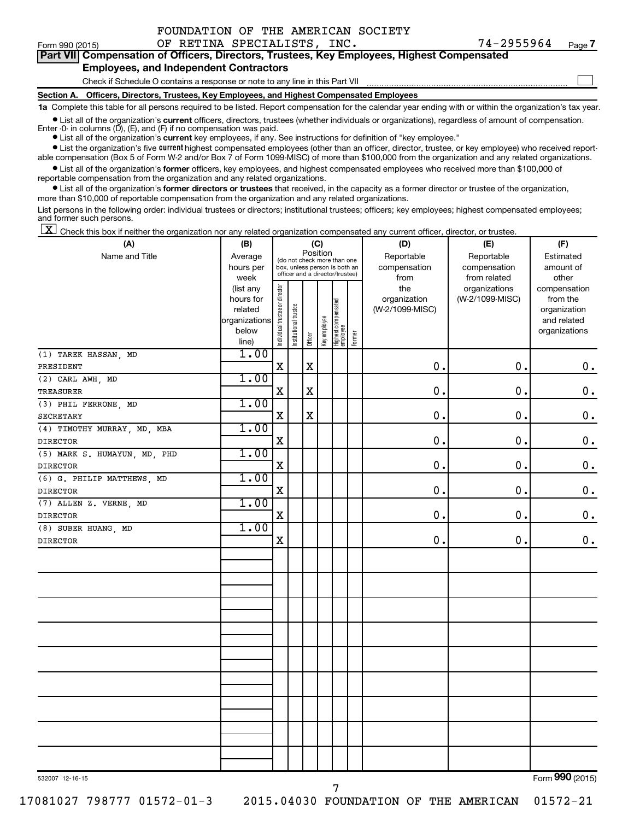| FOUNDATION OF THE AMERICAN SOCIETY |  |  |  |
|------------------------------------|--|--|--|
|------------------------------------|--|--|--|

 $\Box$ 

| Part VII Compensation of Officers, Directors, Trustees, Key Employees, Highest Compensated |
|--------------------------------------------------------------------------------------------|
| <b>Employees, and Independent Contractors</b>                                              |

#### Check if Schedule O contains a response or note to any line in this Part VII

**Section A. Officers, Directors, Trustees, Key Employees, and Highest Compensated Employees**

**1a**  Complete this table for all persons required to be listed. Report compensation for the calendar year ending with or within the organization's tax year.

**•** List all of the organization's current officers, directors, trustees (whether individuals or organizations), regardless of amount of compensation.

**•** List all of the organization's **current** key employees, if any. See instructions for definition of "key employee." Enter -0- in columns  $(D)$ ,  $(E)$ , and  $(F)$  if no compensation was paid.

**•** List the organization's five current highest compensated employees (other than an officer, director, trustee, or key employee) who received reportable compensation (Box 5 of Form W-2 and/or Box 7 of Form 1099-MISC) of more than \$100,000 from the organization and any related organizations.

**•** List all of the organization's former officers, key employees, and highest compensated employees who received more than \$100,000 of reportable compensation from the organization and any related organizations.

**•** List all of the organization's former directors or trustees that received, in the capacity as a former director or trustee of the organization, more than \$10,000 of reportable compensation from the organization and any related organizations.

List persons in the following order: individual trustees or directors; institutional trustees; officers; key employees; highest compensated employees; and former such persons.

|  |  |  | $\boxed{\mathbf{X}}$ Check this box if neither the organization nor any related organization compensated any current officer, director, or trustee. |  |  |  |  |  |
|--|--|--|-----------------------------------------------------------------------------------------------------------------------------------------------------|--|--|--|--|--|
|--|--|--|-----------------------------------------------------------------------------------------------------------------------------------------------------|--|--|--|--|--|

| (A)                          | (B)            | (C)                            |                       |             |              |                                 |        | (D)             | (E)             | (F)                |  |  |  |
|------------------------------|----------------|--------------------------------|-----------------------|-------------|--------------|---------------------------------|--------|-----------------|-----------------|--------------------|--|--|--|
| Name and Title               | Average        |                                |                       | Position    |              | (do not check more than one     |        | Reportable      | Reportable      | Estimated          |  |  |  |
|                              | hours per      |                                |                       |             |              | box, unless person is both an   |        | compensation    | compensation    | amount of          |  |  |  |
|                              | week           |                                |                       |             |              | officer and a director/trustee) |        | from            | from related    | other              |  |  |  |
|                              | (list any      |                                |                       |             |              |                                 |        | the             | organizations   | compensation       |  |  |  |
|                              | hours for      |                                |                       |             |              |                                 |        | organization    | (W-2/1099-MISC) | from the           |  |  |  |
|                              | related        |                                |                       |             |              |                                 |        | (W-2/1099-MISC) |                 | organization       |  |  |  |
|                              | organizations  |                                |                       |             |              |                                 |        |                 |                 | and related        |  |  |  |
|                              | below<br>line) | Individual trustee or director | Institutional trustee | Officer     | Key employee | Highest compensated<br>employee | Former |                 |                 | organizations      |  |  |  |
| (1) TAREK HASSAN, MD         | 1.00           |                                |                       |             |              |                                 |        |                 |                 |                    |  |  |  |
| PRESIDENT                    |                | $\rm X$                        |                       | $\mathbf X$ |              |                                 |        | $\mathbf 0$ .   | 0.              | $\mathbf 0$ .      |  |  |  |
| (2) CARL AWH, MD             | 1.00           |                                |                       |             |              |                                 |        |                 |                 |                    |  |  |  |
| TREASURER                    |                | $\mathbf X$                    |                       | $\mathbf X$ |              |                                 |        | $\mathbf 0$ .   | $\mathbf 0$ .   | $\mathbf 0$ .      |  |  |  |
| (3) PHIL FERRONE, MD         | 1.00           |                                |                       |             |              |                                 |        |                 |                 |                    |  |  |  |
| <b>SECRETARY</b>             |                | X                              |                       | $\mathbf X$ |              |                                 |        | $\mathbf 0$ .   | 0.              | $\mathbf 0$ .      |  |  |  |
| (4) TIMOTHY MURRAY, MD, MBA  | 1.00           |                                |                       |             |              |                                 |        |                 |                 |                    |  |  |  |
| <b>DIRECTOR</b>              |                | $\mathbf X$                    |                       |             |              |                                 |        | 0.              | $\mathbf 0$ .   | $\mathbf 0$ .      |  |  |  |
| (5) MARK S. HUMAYUN, MD, PHD | 1.00           |                                |                       |             |              |                                 |        |                 |                 |                    |  |  |  |
| <b>DIRECTOR</b>              |                | X                              |                       |             |              |                                 |        | $\mathbf 0$ .   | $\mathbf 0$ .   | $\boldsymbol{0}$ . |  |  |  |
| (6) G. PHILIP MATTHEWS, MD   | 1.00           |                                |                       |             |              |                                 |        |                 |                 |                    |  |  |  |
| <b>DIRECTOR</b>              |                | $\mathbf X$                    |                       |             |              |                                 |        | $\mathbf 0$     | 0.              | $\mathbf 0$ .      |  |  |  |
| (7) ALLEN Z. VERNE, MD       | 1.00           |                                |                       |             |              |                                 |        |                 |                 |                    |  |  |  |
| <b>DIRECTOR</b>              |                | $\mathbf X$                    |                       |             |              |                                 |        | 0.              | $\mathbf 0$ .   | $\mathbf 0$ .      |  |  |  |
| $(8)$ SUBER HUANG, MD        | 1.00           |                                |                       |             |              |                                 |        |                 |                 |                    |  |  |  |
| <b>DIRECTOR</b>              |                | $\mathbf X$                    |                       |             |              |                                 |        | 0.              | $\mathbf 0$ .   | 0.                 |  |  |  |
|                              |                |                                |                       |             |              |                                 |        |                 |                 |                    |  |  |  |
|                              |                |                                |                       |             |              |                                 |        |                 |                 |                    |  |  |  |
|                              |                |                                |                       |             |              |                                 |        |                 |                 |                    |  |  |  |
|                              |                |                                |                       |             |              |                                 |        |                 |                 |                    |  |  |  |
|                              |                |                                |                       |             |              |                                 |        |                 |                 |                    |  |  |  |
|                              |                |                                |                       |             |              |                                 |        |                 |                 |                    |  |  |  |
|                              |                |                                |                       |             |              |                                 |        |                 |                 |                    |  |  |  |
|                              |                |                                |                       |             |              |                                 |        |                 |                 |                    |  |  |  |
|                              |                |                                |                       |             |              |                                 |        |                 |                 |                    |  |  |  |
|                              |                |                                |                       |             |              |                                 |        |                 |                 |                    |  |  |  |
|                              |                |                                |                       |             |              |                                 |        |                 |                 |                    |  |  |  |
|                              |                |                                |                       |             |              |                                 |        |                 |                 |                    |  |  |  |
|                              |                |                                |                       |             |              |                                 |        |                 |                 |                    |  |  |  |
|                              |                |                                |                       |             |              |                                 |        |                 |                 |                    |  |  |  |
|                              |                |                                |                       |             |              |                                 |        |                 |                 |                    |  |  |  |
|                              |                |                                |                       |             |              |                                 |        |                 |                 |                    |  |  |  |

532007 12-16-15

Form (2015) **990**

17081027 798777 01572-01-3 2015.04030 FOUNDATION OF THE AMERICAN 01572-21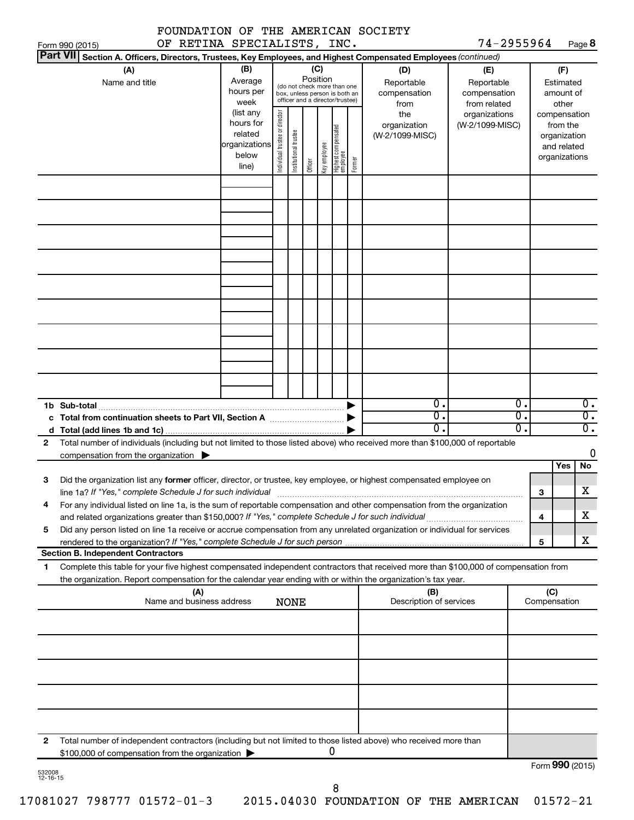|                            |  |  | FOUNDATION OF THE AMERICAN SOCIETY |
|----------------------------|--|--|------------------------------------|
| OF DETINA COFCIALICTIC INC |  |  |                                    |

74-2955964 Page 8

|                 | OF RETINA SPECIALISTS, INC.<br>Form 990 (2015)                                                                                                                                                                                  |                                                                      |                                |                                                                                                                    |         |              |                                  |        |                                           | 74-2955964                                        |                        |                                        |                                                                          | Page 8                               |
|-----------------|---------------------------------------------------------------------------------------------------------------------------------------------------------------------------------------------------------------------------------|----------------------------------------------------------------------|--------------------------------|--------------------------------------------------------------------------------------------------------------------|---------|--------------|----------------------------------|--------|-------------------------------------------|---------------------------------------------------|------------------------|----------------------------------------|--------------------------------------------------------------------------|--------------------------------------|
| <b>Part VII</b> | Section A. Officers, Directors, Trustees, Key Employees, and Highest Compensated Employees (continued)                                                                                                                          |                                                                      |                                |                                                                                                                    |         |              |                                  |        |                                           |                                                   |                        |                                        |                                                                          |                                      |
|                 | (A)<br>Name and title                                                                                                                                                                                                           | (B)<br>Average<br>hours per<br>week                                  |                                | (C)<br>Position<br>(do not check more than one<br>box, unless person is both an<br>officer and a director/trustee) |         |              |                                  |        | (D)<br>Reportable<br>compensation<br>from | (E)<br>Reportable<br>compensation<br>from related |                        | (F)<br>Estimated<br>amount of<br>other |                                                                          |                                      |
|                 |                                                                                                                                                                                                                                 | (list any<br>hours for<br>related<br>organizations<br>below<br>line) | Individual trustee or director | Institutional trustee                                                                                              | Officer | Key employee | Highest compensated<br> employee | Former | the<br>organization<br>(W-2/1099-MISC)    | organizations<br>(W-2/1099-MISC)                  |                        |                                        | compensation<br>from the<br>organization<br>and related<br>organizations |                                      |
|                 |                                                                                                                                                                                                                                 |                                                                      |                                |                                                                                                                    |         |              |                                  |        |                                           |                                                   |                        |                                        |                                                                          |                                      |
|                 |                                                                                                                                                                                                                                 |                                                                      |                                |                                                                                                                    |         |              |                                  |        |                                           |                                                   |                        |                                        |                                                                          |                                      |
|                 |                                                                                                                                                                                                                                 |                                                                      |                                |                                                                                                                    |         |              |                                  |        |                                           |                                                   |                        |                                        |                                                                          |                                      |
|                 |                                                                                                                                                                                                                                 |                                                                      |                                |                                                                                                                    |         |              |                                  |        |                                           |                                                   |                        |                                        |                                                                          |                                      |
|                 |                                                                                                                                                                                                                                 |                                                                      |                                |                                                                                                                    |         |              |                                  |        |                                           |                                                   |                        |                                        |                                                                          |                                      |
|                 |                                                                                                                                                                                                                                 |                                                                      |                                |                                                                                                                    |         |              |                                  |        |                                           |                                                   |                        |                                        |                                                                          |                                      |
|                 |                                                                                                                                                                                                                                 |                                                                      |                                |                                                                                                                    |         |              |                                  |        |                                           |                                                   |                        |                                        |                                                                          |                                      |
|                 | 1b Sub-total<br>c Total from continuation sheets to Part VII, Section A manuscription.                                                                                                                                          |                                                                      |                                |                                                                                                                    |         |              |                                  |        | 0.<br>σ.                                  |                                                   | $\overline{0}$ .<br>σ. |                                        |                                                                          | $\overline{0}$ .<br>$\overline{0}$ . |
|                 |                                                                                                                                                                                                                                 |                                                                      |                                |                                                                                                                    |         |              |                                  |        | О.                                        |                                                   | σ.                     |                                        |                                                                          | $\overline{0}$ .                     |
| $\mathbf{2}$    | Total number of individuals (including but not limited to those listed above) who received more than \$100,000 of reportable                                                                                                    |                                                                      |                                |                                                                                                                    |         |              |                                  |        |                                           |                                                   |                        |                                        |                                                                          |                                      |
|                 | compensation from the organization $\blacktriangleright$                                                                                                                                                                        |                                                                      |                                |                                                                                                                    |         |              |                                  |        |                                           |                                                   |                        |                                        |                                                                          | 0                                    |
| 3               | Did the organization list any former officer, director, or trustee, key employee, or highest compensated employee on                                                                                                            |                                                                      |                                |                                                                                                                    |         |              |                                  |        |                                           |                                                   |                        | 3                                      | Yes                                                                      | No<br>x                              |
|                 | For any individual listed on line 1a, is the sum of reportable compensation and other compensation from the organization<br>and related organizations greater than \$150,000? If "Yes," complete Schedule J for such individual |                                                                      |                                |                                                                                                                    |         |              |                                  |        |                                           |                                                   |                        | 4                                      |                                                                          | х                                    |
| 5               | Did any person listed on line 1a receive or accrue compensation from any unrelated organization or individual for services                                                                                                      |                                                                      |                                |                                                                                                                    |         |              |                                  |        |                                           |                                                   |                        |                                        |                                                                          |                                      |
|                 | <b>Section B. Independent Contractors</b>                                                                                                                                                                                       |                                                                      |                                |                                                                                                                    |         |              |                                  |        |                                           |                                                   |                        | 5                                      |                                                                          | х                                    |
| 1.              | Complete this table for your five highest compensated independent contractors that received more than \$100,000 of compensation from                                                                                            |                                                                      |                                |                                                                                                                    |         |              |                                  |        |                                           |                                                   |                        |                                        |                                                                          |                                      |
|                 | the organization. Report compensation for the calendar year ending with or within the organization's tax year.                                                                                                                  |                                                                      |                                |                                                                                                                    |         |              |                                  |        |                                           |                                                   |                        |                                        |                                                                          |                                      |
|                 | (A)<br>Name and business address                                                                                                                                                                                                |                                                                      |                                | <b>NONE</b>                                                                                                        |         |              |                                  |        | (B)<br>Description of services            |                                                   |                        | (C)                                    | Compensation                                                             |                                      |
|                 |                                                                                                                                                                                                                                 |                                                                      |                                |                                                                                                                    |         |              |                                  |        |                                           |                                                   |                        |                                        |                                                                          |                                      |
|                 |                                                                                                                                                                                                                                 |                                                                      |                                |                                                                                                                    |         |              |                                  |        |                                           |                                                   |                        |                                        |                                                                          |                                      |
|                 |                                                                                                                                                                                                                                 |                                                                      |                                |                                                                                                                    |         |              |                                  |        |                                           |                                                   |                        |                                        |                                                                          |                                      |
|                 |                                                                                                                                                                                                                                 |                                                                      |                                |                                                                                                                    |         |              |                                  |        |                                           |                                                   |                        |                                        |                                                                          |                                      |
| 2               | Total number of independent contractors (including but not limited to those listed above) who received more than<br>\$100,000 of compensation from the organization                                                             |                                                                      |                                |                                                                                                                    |         | 0            |                                  |        |                                           |                                                   |                        |                                        | $Form$ 990 (2015)                                                        |                                      |

532008 12-16-15

Form (2015) **990**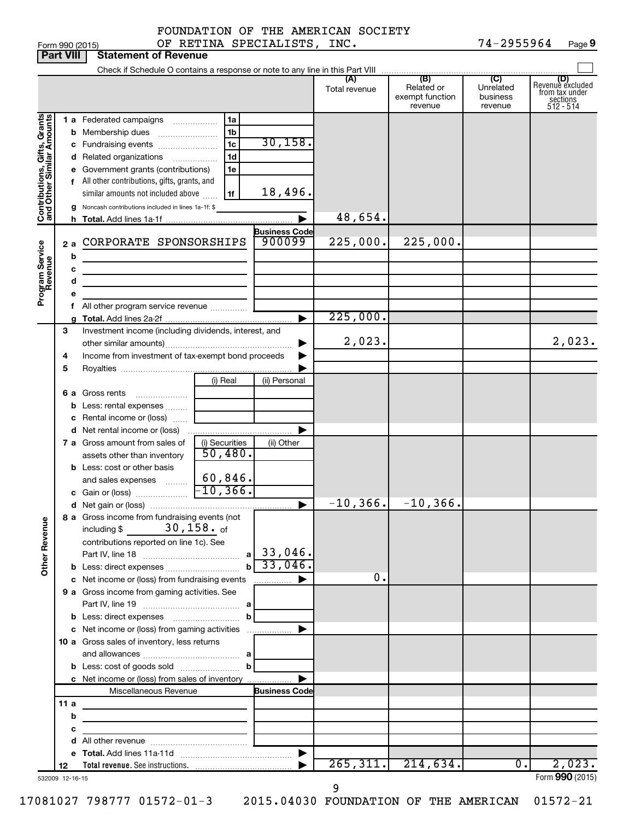| FOUNDATION OF THE AMERICAN SOCIETY |
|------------------------------------|
|------------------------------------|

Form 990 (2015)  $\qquad \qquad \text{OF RETINA SPECIALISTS, INC.}$   $\qquad \qquad \qquad 74-2955964$  Page 74-2955964 Page 9

|                              | <b>Part VIII</b> | <b>Statement of Revenue</b>                                                                                                                                                                                                                                                                                  |                                                                      |                                                       |                      |                                                 |                                         |                                                                    |
|------------------------------|------------------|--------------------------------------------------------------------------------------------------------------------------------------------------------------------------------------------------------------------------------------------------------------------------------------------------------------|----------------------------------------------------------------------|-------------------------------------------------------|----------------------|-------------------------------------------------|-----------------------------------------|--------------------------------------------------------------------|
|                              |                  |                                                                                                                                                                                                                                                                                                              |                                                                      |                                                       |                      |                                                 |                                         |                                                                    |
|                              |                  |                                                                                                                                                                                                                                                                                                              |                                                                      |                                                       | (A)<br>Total revenue | (B)<br>Related or<br>exempt function<br>revenue | (C)<br>Unrelated<br>business<br>revenue | (D)<br>Revenue excluded<br>from tax under<br>sections<br>512 - 514 |
| Contributions, Gifts, Grants | b<br>2a<br>b     | 1 a Federated campaigns<br>Membership dues<br>c Fundraising events<br>d Related organizations<br>e Government grants (contributions)<br>f All other contributions, gifts, grants, and<br>similar amounts not included above<br>g Noncash contributions included in lines 1a-1f: \$<br>CORPORATE SPONSORSHIPS | 1a<br>1 <sub>b</sub><br>1 <sub>c</sub><br>1 <sub>d</sub><br>1e<br>1f | 30, 158.<br>18,496.<br><b>Business Code</b><br>900099 | 48,654.<br>225,000.  | 225,000.                                        |                                         |                                                                    |
| Program Service<br>Revenue   |                  | с<br>d<br><u> 1980 - Johann Barbara, martxa alemaniar a</u>                                                                                                                                                                                                                                                  |                                                                      |                                                       |                      |                                                 |                                         |                                                                    |
|                              |                  | f All other program service revenue                                                                                                                                                                                                                                                                          |                                                                      | ►                                                     | 225,000.             |                                                 |                                         |                                                                    |
|                              | З<br>4           | Investment income (including dividends, interest, and<br>Income from investment of tax-exempt bond proceeds                                                                                                                                                                                                  |                                                                      |                                                       | 2,023.               |                                                 |                                         | 2,023.                                                             |
|                              | 5                |                                                                                                                                                                                                                                                                                                              | (i) Real                                                             | (ii) Personal                                         |                      |                                                 |                                         |                                                                    |
|                              | b<br>с           | 6 a Gross rents<br>Less: rental expenses<br>Rental income or (loss)                                                                                                                                                                                                                                          |                                                                      |                                                       |                      |                                                 |                                         |                                                                    |
|                              |                  | <b>d</b> Net rental income or (loss)<br>7 a Gross amount from sales of<br>assets other than inventory                                                                                                                                                                                                        | (i) Securities<br>50,480.                                            | (ii) Other                                            |                      |                                                 |                                         |                                                                    |
|                              |                  | <b>b</b> Less: cost or other basis<br>and sales expenses<br>c Gain or (loss)                                                                                                                                                                                                                                 | $60,846$ .<br>$-10, 366.$                                            | ▶                                                     | $-10, 366.$          | $-10,366$ .                                     |                                         |                                                                    |
| <b>Other Revenue</b>         |                  | 8 a Gross income from fundraising events (not<br>$30$ , $158$ $\cdot$ of<br>including \$<br>contributions reported on line 1c). See                                                                                                                                                                          | a<br>$\mathbf{b}$                                                    | $33,046$ .<br>33,046.                                 |                      |                                                 |                                         |                                                                    |
|                              |                  | c Net income or (loss) from fundraising events                                                                                                                                                                                                                                                               |                                                                      | $\ldots \ldots \ldots$                                | 0.                   |                                                 |                                         |                                                                    |
|                              |                  | 9 a Gross income from gaming activities. See                                                                                                                                                                                                                                                                 | b                                                                    |                                                       |                      |                                                 |                                         |                                                                    |
|                              |                  | 10 a Gross sales of inventory, less returns                                                                                                                                                                                                                                                                  |                                                                      |                                                       |                      |                                                 |                                         |                                                                    |
|                              |                  | c Net income or (loss) from sales of inventory<br>Miscellaneous Revenue                                                                                                                                                                                                                                      | <b>Business Code</b>                                                 |                                                       |                      |                                                 |                                         |                                                                    |
|                              | 11 a<br>b<br>с   | the control of the control of the control of the control of the control of<br>the control of the control of the control of the control of                                                                                                                                                                    |                                                                      |                                                       |                      |                                                 |                                         |                                                                    |
|                              | 12               |                                                                                                                                                                                                                                                                                                              |                                                                      |                                                       | 265, 311.            | 214,634.                                        | 0.                                      | 2,023.<br>Form 990 (2015)                                          |
|                              | 532009 12-16-15  |                                                                                                                                                                                                                                                                                                              |                                                                      |                                                       | 9                    |                                                 |                                         |                                                                    |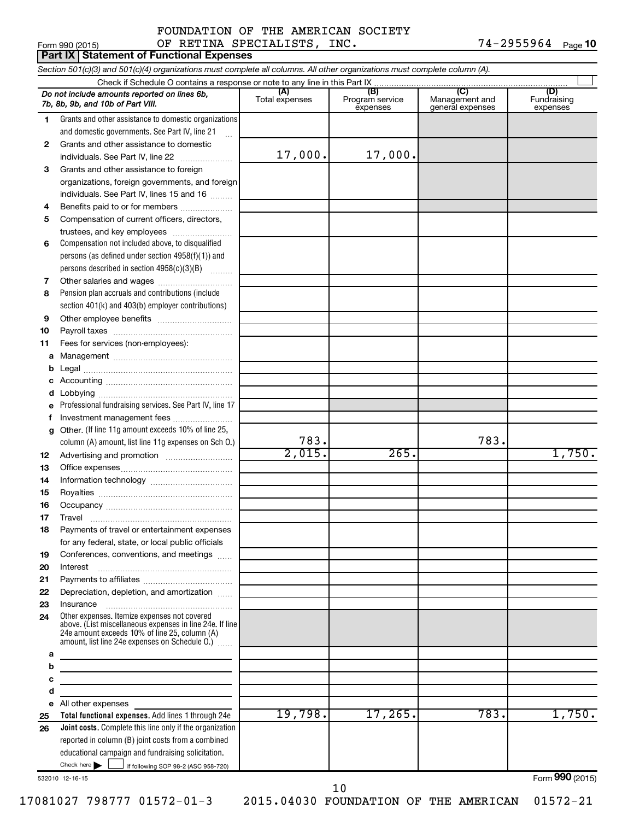### Form 990 (2015) Page OF RETINA SPECIALISTS, INC. 74-2955964 FOUNDATION OF THE AMERICAN SOCIETY

74-2955964 Page 10

|                                                                                 | Part IX   Statement of Functional Expenses                                                                                                                    |                       |                                    |                                           |                                |  |  |  |  |  |  |
|---------------------------------------------------------------------------------|---------------------------------------------------------------------------------------------------------------------------------------------------------------|-----------------------|------------------------------------|-------------------------------------------|--------------------------------|--|--|--|--|--|--|
|                                                                                 | Section 501(c)(3) and 501(c)(4) organizations must complete all columns. All other organizations must complete column (A).                                    |                       |                                    |                                           |                                |  |  |  |  |  |  |
|                                                                                 |                                                                                                                                                               |                       |                                    |                                           |                                |  |  |  |  |  |  |
|                                                                                 | Do not include amounts reported on lines 6b,<br>7b, 8b, 9b, and 10b of Part VIII.                                                                             | (A)<br>Total expenses | (B)<br>Program service<br>expenses | (C)<br>Management and<br>general expenses | (D)<br>Fundraising<br>expenses |  |  |  |  |  |  |
| 1                                                                               | Grants and other assistance to domestic organizations                                                                                                         |                       |                                    |                                           |                                |  |  |  |  |  |  |
|                                                                                 | and domestic governments. See Part IV, line 21                                                                                                                |                       |                                    |                                           |                                |  |  |  |  |  |  |
| 2                                                                               | Grants and other assistance to domestic                                                                                                                       |                       |                                    |                                           |                                |  |  |  |  |  |  |
|                                                                                 | individuals. See Part IV, line 22                                                                                                                             | 17,000.               | 17,000.                            |                                           |                                |  |  |  |  |  |  |
| 3                                                                               | Grants and other assistance to foreign                                                                                                                        |                       |                                    |                                           |                                |  |  |  |  |  |  |
|                                                                                 | organizations, foreign governments, and foreign                                                                                                               |                       |                                    |                                           |                                |  |  |  |  |  |  |
|                                                                                 | individuals. See Part IV, lines 15 and 16                                                                                                                     |                       |                                    |                                           |                                |  |  |  |  |  |  |
| 4                                                                               | Benefits paid to or for members                                                                                                                               |                       |                                    |                                           |                                |  |  |  |  |  |  |
| 5                                                                               | Compensation of current officers, directors,                                                                                                                  |                       |                                    |                                           |                                |  |  |  |  |  |  |
|                                                                                 | trustees, and key employees                                                                                                                                   |                       |                                    |                                           |                                |  |  |  |  |  |  |
| 6                                                                               | Compensation not included above, to disqualified                                                                                                              |                       |                                    |                                           |                                |  |  |  |  |  |  |
|                                                                                 | persons (as defined under section 4958(f)(1)) and                                                                                                             |                       |                                    |                                           |                                |  |  |  |  |  |  |
|                                                                                 | persons described in section 4958(c)(3)(B)                                                                                                                    |                       |                                    |                                           |                                |  |  |  |  |  |  |
| 7                                                                               |                                                                                                                                                               |                       |                                    |                                           |                                |  |  |  |  |  |  |
| 8                                                                               | Pension plan accruals and contributions (include                                                                                                              |                       |                                    |                                           |                                |  |  |  |  |  |  |
|                                                                                 | section 401(k) and 403(b) employer contributions)                                                                                                             |                       |                                    |                                           |                                |  |  |  |  |  |  |
| 9                                                                               |                                                                                                                                                               |                       |                                    |                                           |                                |  |  |  |  |  |  |
| 10                                                                              |                                                                                                                                                               |                       |                                    |                                           |                                |  |  |  |  |  |  |
| 11                                                                              | Fees for services (non-employees):                                                                                                                            |                       |                                    |                                           |                                |  |  |  |  |  |  |
| а                                                                               |                                                                                                                                                               |                       |                                    |                                           |                                |  |  |  |  |  |  |
| b                                                                               |                                                                                                                                                               |                       |                                    |                                           |                                |  |  |  |  |  |  |
| d                                                                               |                                                                                                                                                               |                       |                                    |                                           |                                |  |  |  |  |  |  |
| е                                                                               | Professional fundraising services. See Part IV, line 17                                                                                                       |                       |                                    |                                           |                                |  |  |  |  |  |  |
| f                                                                               | Investment management fees                                                                                                                                    |                       |                                    |                                           |                                |  |  |  |  |  |  |
| g                                                                               | Other. (If line 11g amount exceeds 10% of line 25,                                                                                                            |                       |                                    |                                           |                                |  |  |  |  |  |  |
|                                                                                 | column (A) amount, list line 11g expenses on Sch O.)                                                                                                          | 783.                  |                                    | 783.                                      |                                |  |  |  |  |  |  |
| 12                                                                              |                                                                                                                                                               | 2,015.                | 265.                               |                                           | 1,750.                         |  |  |  |  |  |  |
| 13                                                                              |                                                                                                                                                               |                       |                                    |                                           |                                |  |  |  |  |  |  |
| 14                                                                              |                                                                                                                                                               |                       |                                    |                                           |                                |  |  |  |  |  |  |
| 15                                                                              |                                                                                                                                                               |                       |                                    |                                           |                                |  |  |  |  |  |  |
| 16                                                                              |                                                                                                                                                               |                       |                                    |                                           |                                |  |  |  |  |  |  |
| 17                                                                              | Travel                                                                                                                                                        |                       |                                    |                                           |                                |  |  |  |  |  |  |
| 18                                                                              | Payments of travel or entertainment expenses                                                                                                                  |                       |                                    |                                           |                                |  |  |  |  |  |  |
|                                                                                 | for any federal, state, or local public officials                                                                                                             |                       |                                    |                                           |                                |  |  |  |  |  |  |
| 19                                                                              | Conferences, conventions, and meetings                                                                                                                        |                       |                                    |                                           |                                |  |  |  |  |  |  |
| 20                                                                              | Interest                                                                                                                                                      |                       |                                    |                                           |                                |  |  |  |  |  |  |
| 21                                                                              |                                                                                                                                                               |                       |                                    |                                           |                                |  |  |  |  |  |  |
| 22                                                                              | Depreciation, depletion, and amortization                                                                                                                     |                       |                                    |                                           |                                |  |  |  |  |  |  |
| 23<br>24                                                                        | Insurance<br>Other expenses. Itemize expenses not covered                                                                                                     |                       |                                    |                                           |                                |  |  |  |  |  |  |
|                                                                                 | above. (List miscellaneous expenses in line 24e. If line<br>24e amount exceeds 10% of line 25, column (A)<br>amount, list line 24e expenses on Schedule O.) [ |                       |                                    |                                           |                                |  |  |  |  |  |  |
| a                                                                               |                                                                                                                                                               |                       |                                    |                                           |                                |  |  |  |  |  |  |
| b                                                                               | the control of the control of the control of the control of the control of                                                                                    |                       |                                    |                                           |                                |  |  |  |  |  |  |
| c<br>the control of the control of the control of the control of the control of |                                                                                                                                                               |                       |                                    |                                           |                                |  |  |  |  |  |  |
| d                                                                               |                                                                                                                                                               |                       |                                    |                                           |                                |  |  |  |  |  |  |
| е                                                                               | All other expenses                                                                                                                                            |                       |                                    |                                           |                                |  |  |  |  |  |  |
| 25                                                                              | Total functional expenses. Add lines 1 through 24e                                                                                                            | 19,798.               | 17,265.                            | 783.                                      | 1,750.                         |  |  |  |  |  |  |
| 26                                                                              | Joint costs. Complete this line only if the organization                                                                                                      |                       |                                    |                                           |                                |  |  |  |  |  |  |
|                                                                                 | reported in column (B) joint costs from a combined                                                                                                            |                       |                                    |                                           |                                |  |  |  |  |  |  |
|                                                                                 | educational campaign and fundraising solicitation.                                                                                                            |                       |                                    |                                           |                                |  |  |  |  |  |  |
|                                                                                 | Check here       if following SOP 98-2 (ASC 958-720)                                                                                                          |                       |                                    |                                           |                                |  |  |  |  |  |  |

532010 12-16-15

Form (2015) **990**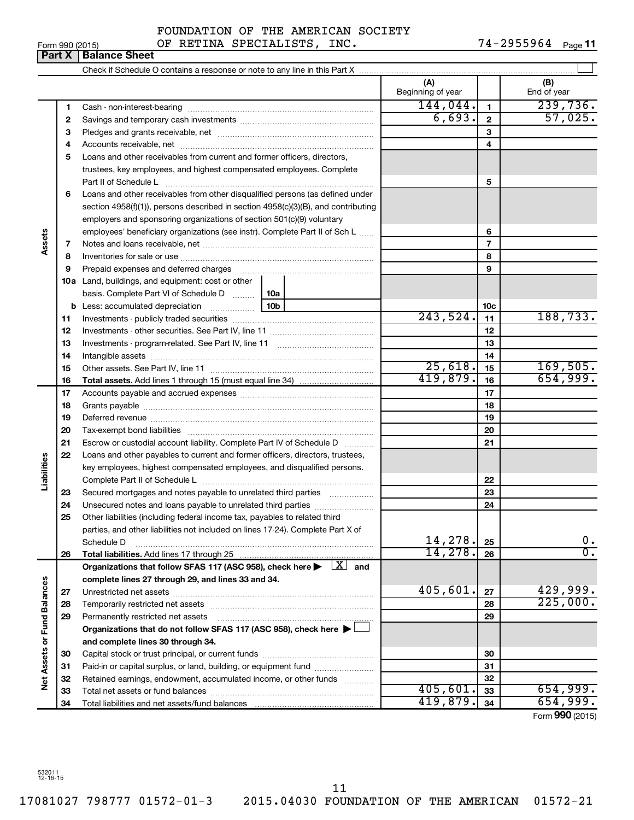Form 990 (2015)  $\qquad \qquad \text{OF RETINA SPECIALISTICS, INC.}$  74-2955964  $_{\text{Page}}$ 

74-2955964 Page 11

|                      | Part X | <b>Balance Sheet</b>                                                                                                                                                                                                           |     |                          |              |                    |
|----------------------|--------|--------------------------------------------------------------------------------------------------------------------------------------------------------------------------------------------------------------------------------|-----|--------------------------|--------------|--------------------|
|                      |        |                                                                                                                                                                                                                                |     |                          |              |                    |
|                      |        |                                                                                                                                                                                                                                |     | (A)<br>Beginning of year |              | (B)<br>End of year |
|                      | 1      |                                                                                                                                                                                                                                |     | 144,044.                 | 1            | 239,736.           |
|                      | 2      |                                                                                                                                                                                                                                |     | 6,693.                   | $\mathbf{2}$ | 57,025.            |
|                      | З      |                                                                                                                                                                                                                                |     |                          | 3            |                    |
|                      | 4      |                                                                                                                                                                                                                                |     |                          | 4            |                    |
|                      | 5      | Loans and other receivables from current and former officers, directors,                                                                                                                                                       |     |                          |              |                    |
|                      |        | trustees, key employees, and highest compensated employees. Complete                                                                                                                                                           |     |                          |              |                    |
|                      |        | Part II of Schedule L                                                                                                                                                                                                          |     |                          | 5            |                    |
|                      | 6      | Loans and other receivables from other disqualified persons (as defined under                                                                                                                                                  |     |                          |              |                    |
|                      |        | section $4958(f)(1)$ , persons described in section $4958(c)(3)(B)$ , and contributing                                                                                                                                         |     |                          |              |                    |
|                      |        | employers and sponsoring organizations of section 501(c)(9) voluntary                                                                                                                                                          |     |                          |              |                    |
|                      |        | employees' beneficiary organizations (see instr). Complete Part II of Sch L                                                                                                                                                    |     |                          | 6            |                    |
| Assets               | 7      |                                                                                                                                                                                                                                |     |                          | 7            |                    |
|                      | 8      |                                                                                                                                                                                                                                |     |                          | 8            |                    |
|                      | 9      |                                                                                                                                                                                                                                |     |                          | 9            |                    |
|                      |        | 10a Land, buildings, and equipment: cost or other                                                                                                                                                                              |     |                          |              |                    |
|                      |        | basis. Complete Part VI of Schedule D                                                                                                                                                                                          | 10a |                          |              |                    |
|                      |        | <b>b</b> Less: accumulated depreciation <i>mimimimini</i>                                                                                                                                                                      | 10b |                          | 10c          |                    |
|                      | 11     |                                                                                                                                                                                                                                |     | 243,524.                 | 11           | 188,733.           |
|                      | 12     |                                                                                                                                                                                                                                |     |                          | 12           |                    |
|                      | 13     |                                                                                                                                                                                                                                |     |                          | 13           |                    |
|                      | 14     |                                                                                                                                                                                                                                |     |                          | 14           |                    |
|                      | 15     |                                                                                                                                                                                                                                |     | 25,618.                  | 15           | 169,505.           |
|                      | 16     |                                                                                                                                                                                                                                |     | 419,879.                 | 16           | 654,999.           |
|                      | 17     |                                                                                                                                                                                                                                |     |                          | 17           |                    |
|                      | 18     |                                                                                                                                                                                                                                |     | 18                       |              |                    |
|                      | 19     | Deferred revenue manual contracts and contracts are all the contracts and contracts are contracted and contracts are contracted and contract are contracted and contract are contracted and contract are contracted and contra |     | 19                       |              |                    |
|                      | 20     |                                                                                                                                                                                                                                |     |                          | 20           |                    |
|                      | 21     | Escrow or custodial account liability. Complete Part IV of Schedule D                                                                                                                                                          |     |                          | 21           |                    |
| Liabilities          | 22     | Loans and other payables to current and former officers, directors, trustees,                                                                                                                                                  |     |                          |              |                    |
|                      |        | key employees, highest compensated employees, and disqualified persons.                                                                                                                                                        |     |                          |              |                    |
|                      |        |                                                                                                                                                                                                                                |     |                          | 22           |                    |
|                      | 23     | Secured mortgages and notes payable to unrelated third parties                                                                                                                                                                 |     |                          | 23           |                    |
|                      | 24     | Unsecured notes and loans payable to unrelated third parties<br>Other liabilities (including federal income tax, payables to related third                                                                                     |     |                          | 24           |                    |
|                      | 25     | parties, and other liabilities not included on lines 17-24). Complete Part X of                                                                                                                                                |     |                          |              |                    |
|                      |        | Schedule D                                                                                                                                                                                                                     |     | 14,278.                  | 25           | 0.                 |
|                      | 26     | Total liabilities. Add lines 17 through 25                                                                                                                                                                                     |     | 14,278.                  | 26           | $\overline{0}$ .   |
|                      |        | Organizations that follow SFAS 117 (ASC 958), check here $\blacktriangleright \begin{array}{c} \boxed{X} \\ \end{array}$ and                                                                                                   |     |                          |              |                    |
|                      |        | complete lines 27 through 29, and lines 33 and 34.                                                                                                                                                                             |     |                          |              |                    |
| <b>Fund Balances</b> | 27     |                                                                                                                                                                                                                                |     | 405,601.                 | 27           | 429,999.           |
|                      | 28     |                                                                                                                                                                                                                                |     |                          | 28           | 225,000.           |
|                      | 29     | Permanently restricted net assets                                                                                                                                                                                              |     |                          | 29           |                    |
|                      |        | Organizations that do not follow SFAS 117 (ASC 958), check here >                                                                                                                                                              |     |                          |              |                    |
|                      |        | and complete lines 30 through 34.                                                                                                                                                                                              |     |                          |              |                    |
|                      | 30     |                                                                                                                                                                                                                                |     |                          | 30           |                    |
| Net Assets or        | 31     | Paid-in or capital surplus, or land, building, or equipment fund                                                                                                                                                               |     |                          | 31           |                    |
|                      | 32     | Retained earnings, endowment, accumulated income, or other funds                                                                                                                                                               |     |                          | 32           |                    |
|                      | 33     |                                                                                                                                                                                                                                |     | 405,601.                 | 33           | 654,999.           |
|                      | 34     |                                                                                                                                                                                                                                |     | 419,879.                 | 34           | 654,999.           |
|                      |        |                                                                                                                                                                                                                                |     |                          |              | Form 990 (2015)    |

532011 12-16-15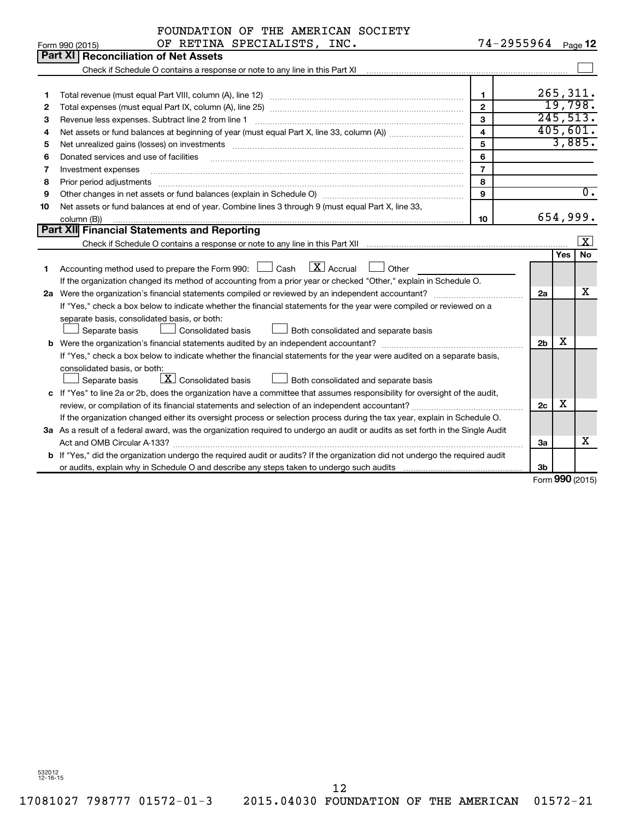|    | FOUNDATION OF THE AMERICAN SOCIETY                                                                                              |                         |                |     |                                   |  |  |
|----|---------------------------------------------------------------------------------------------------------------------------------|-------------------------|----------------|-----|-----------------------------------|--|--|
|    | OF RETINA SPECIALISTS, INC.<br>Form 990 (2015)                                                                                  | 74-2955964 Page 12      |                |     |                                   |  |  |
|    | Part XI   Reconciliation of Net Assets                                                                                          |                         |                |     |                                   |  |  |
|    |                                                                                                                                 |                         |                |     |                                   |  |  |
|    |                                                                                                                                 |                         |                |     |                                   |  |  |
| 1  |                                                                                                                                 | $\mathbf{1}$            |                |     | 265, 311.                         |  |  |
| 2  |                                                                                                                                 | $\overline{2}$          |                |     | 19,798.                           |  |  |
| З  | Revenue less expenses. Subtract line 2 from line 1                                                                              | 3                       |                |     | 245,513.                          |  |  |
| 4  |                                                                                                                                 | $\overline{\mathbf{4}}$ |                |     | 405,601.                          |  |  |
| 5  |                                                                                                                                 | 5                       |                |     | 3,885.                            |  |  |
| 6  | Donated services and use of facilities                                                                                          | 6                       |                |     |                                   |  |  |
| 7  | Investment expenses                                                                                                             | $\overline{7}$          |                |     |                                   |  |  |
| 8  | Prior period adjustments                                                                                                        | 8                       |                |     |                                   |  |  |
| 9  |                                                                                                                                 | 9                       |                |     | $\overline{0}$ .                  |  |  |
| 10 | Net assets or fund balances at end of year. Combine lines 3 through 9 (must equal Part X, line 33,                              |                         |                |     |                                   |  |  |
|    | 654,999.<br>10<br>column (B))                                                                                                   |                         |                |     |                                   |  |  |
|    | <b>Part XII Financial Statements and Reporting</b>                                                                              |                         |                |     |                                   |  |  |
|    | Check if Schedule O contains a response or note to any line in this Part XII                                                    |                         |                |     | $\lfloor x \rfloor$               |  |  |
|    |                                                                                                                                 |                         |                | Yes | <b>No</b>                         |  |  |
| 1. | $\boxed{\mathbf{X}}$ Accrual<br>Accounting method used to prepare the Form 990: $\Box$ Cash<br>Other                            |                         |                |     |                                   |  |  |
|    | If the organization changed its method of accounting from a prior year or checked "Other," explain in Schedule O.               |                         |                |     |                                   |  |  |
|    | 2a Were the organization's financial statements compiled or reviewed by an independent accountant?                              |                         | 2a             |     | х                                 |  |  |
|    | If "Yes," check a box below to indicate whether the financial statements for the year were compiled or reviewed on a            |                         |                |     |                                   |  |  |
|    | separate basis, consolidated basis, or both:                                                                                    |                         |                |     |                                   |  |  |
|    | Separate basis<br>Consolidated basis<br>Both consolidated and separate basis                                                    |                         |                |     |                                   |  |  |
|    |                                                                                                                                 |                         | 2 <sub>b</sub> | х   |                                   |  |  |
|    | If "Yes," check a box below to indicate whether the financial statements for the year were audited on a separate basis,         |                         |                |     |                                   |  |  |
|    | consolidated basis, or both:                                                                                                    |                         |                |     |                                   |  |  |
|    | X Consolidated basis<br>Separate basis<br>Both consolidated and separate basis                                                  |                         |                |     |                                   |  |  |
|    | c If "Yes" to line 2a or 2b, does the organization have a committee that assumes responsibility for oversight of the audit,     |                         |                |     |                                   |  |  |
|    | review, or compilation of its financial statements and selection of an independent accountant?                                  |                         | 2c             | х   |                                   |  |  |
|    | If the organization changed either its oversight process or selection process during the tax year, explain in Schedule O.       |                         |                |     |                                   |  |  |
|    | 3a As a result of a federal award, was the organization required to undergo an audit or audits as set forth in the Single Audit |                         |                |     |                                   |  |  |
|    | Act and OMB Circular A-133?                                                                                                     |                         | За             |     | x                                 |  |  |
|    | b If "Yes," did the organization undergo the required audit or audits? If the organization did not undergo the required audit   |                         |                |     |                                   |  |  |
|    |                                                                                                                                 |                         | Зb             |     | $F_{\alpha r}$ QQ $\Omega$ (2015) |  |  |
|    |                                                                                                                                 |                         |                |     |                                   |  |  |

Form (2015) **990**

532012 12-16-15

12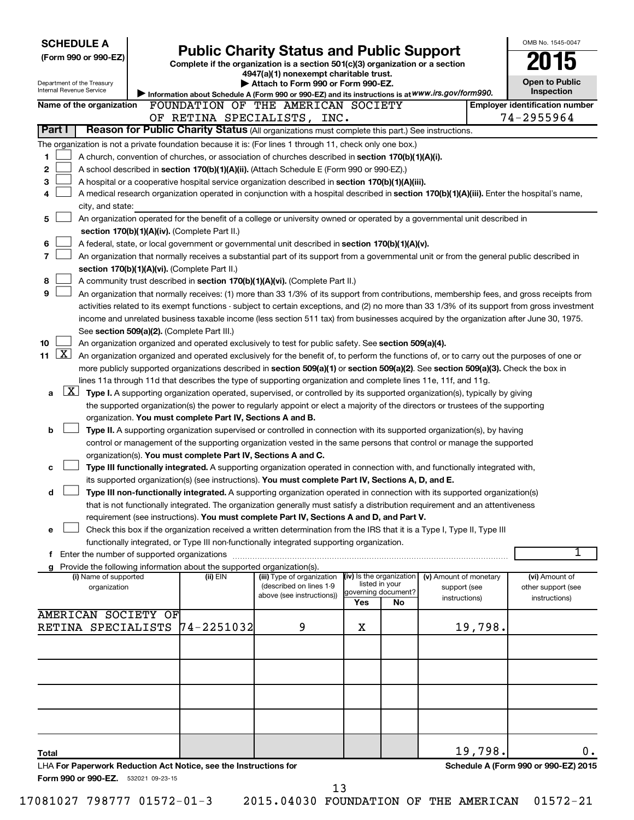| <b>SCHEDULE A</b>                                                                                         |                                                                        |                                                                                                                                                                                                                                                                                  |                            |                |                                        | OMB No. 1545-0047                     |
|-----------------------------------------------------------------------------------------------------------|------------------------------------------------------------------------|----------------------------------------------------------------------------------------------------------------------------------------------------------------------------------------------------------------------------------------------------------------------------------|----------------------------|----------------|----------------------------------------|---------------------------------------|
| (Form 990 or 990-EZ)                                                                                      |                                                                        | <b>Public Charity Status and Public Support</b>                                                                                                                                                                                                                                  |                            |                |                                        |                                       |
|                                                                                                           |                                                                        | Complete if the organization is a section 501(c)(3) organization or a section<br>4947(a)(1) nonexempt charitable trust.                                                                                                                                                          |                            |                |                                        |                                       |
| Department of the Treasury<br>Internal Revenue Service                                                    |                                                                        | Attach to Form 990 or Form 990-EZ.                                                                                                                                                                                                                                               |                            |                |                                        | <b>Open to Public</b><br>Inspection   |
| Name of the organization                                                                                  |                                                                        | Information about Schedule A (Form 990 or 990-EZ) and its instructions is at WWW.irs.gov/form990.<br>FOUNDATION OF THE AMERICAN SOCIETY                                                                                                                                          |                            |                |                                        | <b>Employer identification number</b> |
|                                                                                                           |                                                                        | OF RETINA SPECIALISTS, INC.                                                                                                                                                                                                                                                      |                            |                |                                        | 74-2955964                            |
| Part I                                                                                                    |                                                                        | Reason for Public Charity Status (All organizations must complete this part.) See instructions.                                                                                                                                                                                  |                            |                |                                        |                                       |
| The organization is not a private foundation because it is: (For lines 1 through 11, check only one box.) |                                                                        |                                                                                                                                                                                                                                                                                  |                            |                |                                        |                                       |
| 1                                                                                                         |                                                                        | A church, convention of churches, or association of churches described in section 170(b)(1)(A)(i).                                                                                                                                                                               |                            |                |                                        |                                       |
| 2                                                                                                         |                                                                        | A school described in section 170(b)(1)(A)(ii). (Attach Schedule E (Form 990 or 990-EZ).)                                                                                                                                                                                        |                            |                |                                        |                                       |
| 3                                                                                                         |                                                                        | A hospital or a cooperative hospital service organization described in section 170(b)(1)(A)(iii).                                                                                                                                                                                |                            |                |                                        |                                       |
| 4                                                                                                         |                                                                        | A medical research organization operated in conjunction with a hospital described in section 170(b)(1)(A)(iii). Enter the hospital's name,                                                                                                                                       |                            |                |                                        |                                       |
| city, and state:                                                                                          |                                                                        |                                                                                                                                                                                                                                                                                  |                            |                |                                        |                                       |
| 5                                                                                                         |                                                                        | An organization operated for the benefit of a college or university owned or operated by a governmental unit described in                                                                                                                                                        |                            |                |                                        |                                       |
| 6                                                                                                         | section 170(b)(1)(A)(iv). (Complete Part II.)                          |                                                                                                                                                                                                                                                                                  |                            |                |                                        |                                       |
| $\overline{7}$                                                                                            |                                                                        | A federal, state, or local government or governmental unit described in section 170(b)(1)(A)(v).<br>An organization that normally receives a substantial part of its support from a governmental unit or from the general public described in                                    |                            |                |                                        |                                       |
|                                                                                                           | section 170(b)(1)(A)(vi). (Complete Part II.)                          |                                                                                                                                                                                                                                                                                  |                            |                |                                        |                                       |
| 8                                                                                                         |                                                                        | A community trust described in section 170(b)(1)(A)(vi). (Complete Part II.)                                                                                                                                                                                                     |                            |                |                                        |                                       |
| 9                                                                                                         |                                                                        | An organization that normally receives: (1) more than 33 1/3% of its support from contributions, membership fees, and gross receipts from                                                                                                                                        |                            |                |                                        |                                       |
|                                                                                                           |                                                                        | activities related to its exempt functions - subject to certain exceptions, and (2) no more than 33 1/3% of its support from gross investment                                                                                                                                    |                            |                |                                        |                                       |
|                                                                                                           |                                                                        | income and unrelated business taxable income (less section 511 tax) from businesses acquired by the organization after June 30, 1975.                                                                                                                                            |                            |                |                                        |                                       |
|                                                                                                           | See section 509(a)(2). (Complete Part III.)                            |                                                                                                                                                                                                                                                                                  |                            |                |                                        |                                       |
| 10<br>$\lfloor x \rfloor$                                                                                 |                                                                        | An organization organized and operated exclusively to test for public safety. See section 509(a)(4).                                                                                                                                                                             |                            |                |                                        |                                       |
| 11                                                                                                        |                                                                        | An organization organized and operated exclusively for the benefit of, to perform the functions of, or to carry out the purposes of one or<br>more publicly supported organizations described in section 509(a)(1) or section 509(a)(2). See section 509(a)(3). Check the box in |                            |                |                                        |                                       |
|                                                                                                           |                                                                        | lines 11a through 11d that describes the type of supporting organization and complete lines 11e, 11f, and 11g.                                                                                                                                                                   |                            |                |                                        |                                       |
| $\lfloor x \rfloor$<br>a                                                                                  |                                                                        | Type I. A supporting organization operated, supervised, or controlled by its supported organization(s), typically by giving                                                                                                                                                      |                            |                |                                        |                                       |
|                                                                                                           |                                                                        | the supported organization(s) the power to regularly appoint or elect a majority of the directors or trustees of the supporting                                                                                                                                                  |                            |                |                                        |                                       |
|                                                                                                           | organization. You must complete Part IV, Sections A and B.             |                                                                                                                                                                                                                                                                                  |                            |                |                                        |                                       |
| b                                                                                                         |                                                                        | Type II. A supporting organization supervised or controlled in connection with its supported organization(s), by having                                                                                                                                                          |                            |                |                                        |                                       |
|                                                                                                           |                                                                        | control or management of the supporting organization vested in the same persons that control or manage the supported                                                                                                                                                             |                            |                |                                        |                                       |
|                                                                                                           | organization(s). You must complete Part IV, Sections A and C.          |                                                                                                                                                                                                                                                                                  |                            |                |                                        |                                       |
| c                                                                                                         |                                                                        | Type III functionally integrated. A supporting organization operated in connection with, and functionally integrated with,                                                                                                                                                       |                            |                |                                        |                                       |
|                                                                                                           |                                                                        | its supported organization(s) (see instructions). You must complete Part IV, Sections A, D, and E.                                                                                                                                                                               |                            |                |                                        |                                       |
| d                                                                                                         |                                                                        | Type III non-functionally integrated. A supporting organization operated in connection with its supported organization(s)<br>that is not functionally integrated. The organization generally must satisfy a distribution requirement and an attentiveness                        |                            |                |                                        |                                       |
|                                                                                                           |                                                                        | requirement (see instructions). You must complete Part IV, Sections A and D, and Part V.                                                                                                                                                                                         |                            |                |                                        |                                       |
| е                                                                                                         |                                                                        | Check this box if the organization received a written determination from the IRS that it is a Type I, Type II, Type III                                                                                                                                                          |                            |                |                                        |                                       |
|                                                                                                           |                                                                        | functionally integrated, or Type III non-functionally integrated supporting organization.                                                                                                                                                                                        |                            |                |                                        |                                       |
|                                                                                                           |                                                                        |                                                                                                                                                                                                                                                                                  |                            |                |                                        | 1                                     |
| g                                                                                                         | Provide the following information about the supported organization(s). |                                                                                                                                                                                                                                                                                  |                            |                |                                        |                                       |
| (i) Name of supported<br>organization                                                                     | (ii) EIN                                                               | (iii) Type of organization<br>(described on lines 1-9                                                                                                                                                                                                                            | (iv) Is the organization   | listed in your | (v) Amount of monetary<br>support (see | (vi) Amount of<br>other support (see  |
|                                                                                                           |                                                                        | above (see instructions))                                                                                                                                                                                                                                                        | governing document?<br>Yes | No             | instructions)                          | instructions)                         |
| <b>AMERICAN SOCIETY OF</b>                                                                                |                                                                        |                                                                                                                                                                                                                                                                                  |                            |                |                                        |                                       |
| RETINA SPECIALISTS 74-2251032                                                                             |                                                                        | 9                                                                                                                                                                                                                                                                                | х                          |                | 19,798.                                |                                       |
|                                                                                                           |                                                                        |                                                                                                                                                                                                                                                                                  |                            |                |                                        |                                       |
|                                                                                                           |                                                                        |                                                                                                                                                                                                                                                                                  |                            |                |                                        |                                       |
|                                                                                                           |                                                                        |                                                                                                                                                                                                                                                                                  |                            |                |                                        |                                       |
|                                                                                                           |                                                                        |                                                                                                                                                                                                                                                                                  |                            |                |                                        |                                       |
|                                                                                                           |                                                                        |                                                                                                                                                                                                                                                                                  |                            |                |                                        |                                       |
|                                                                                                           |                                                                        |                                                                                                                                                                                                                                                                                  |                            |                |                                        |                                       |
|                                                                                                           |                                                                        |                                                                                                                                                                                                                                                                                  |                            |                |                                        |                                       |
|                                                                                                           |                                                                        |                                                                                                                                                                                                                                                                                  |                            |                |                                        |                                       |
| Total                                                                                                     |                                                                        |                                                                                                                                                                                                                                                                                  |                            |                | 19,798.                                | 0.                                    |
| LHA For Paperwork Reduction Act Notice, see the Instructions for                                          |                                                                        |                                                                                                                                                                                                                                                                                  |                            |                |                                        | Schedule A (Form 990 or 990-EZ) 2015  |
| Form 990 or 990-EZ. 532021 09-23-15                                                                       |                                                                        |                                                                                                                                                                                                                                                                                  |                            |                |                                        |                                       |
|                                                                                                           |                                                                        | 13                                                                                                                                                                                                                                                                               |                            |                |                                        |                                       |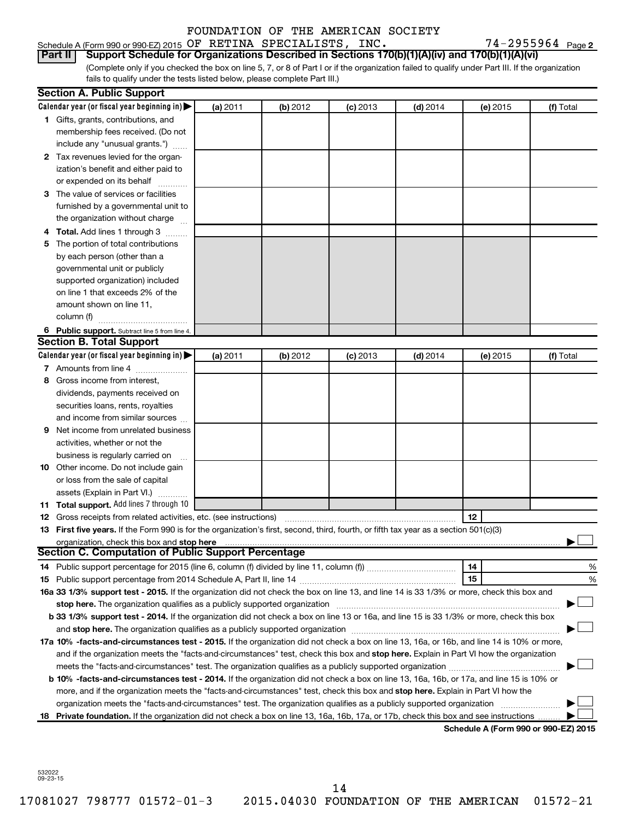### Schedule A (Form 990 or 990-EZ) 2015 Page OF RETINA SPECIALISTS, INC. 74-2955964 FOUNDATION OF THE AMERICAN SOCIETY

74-2955964 Page 2

(Complete only if you checked the box on line 5, 7, or 8 of Part I or if the organization failed to qualify under Part III. If the organization **Part II Support Schedule for Organizations Described in Sections 170(b)(1)(A)(iv) and 170(b)(1)(A)(vi)**

fails to qualify under the tests listed below, please complete Part III.)

|    | <b>Section A. Public Support</b>                                                                                                                |          |          |            |            |                 |                                      |
|----|-------------------------------------------------------------------------------------------------------------------------------------------------|----------|----------|------------|------------|-----------------|--------------------------------------|
|    | Calendar year (or fiscal year beginning in)                                                                                                     | (a) 2011 | (b) 2012 | $(c)$ 2013 | $(d)$ 2014 | (e) 2015        | (f) Total                            |
|    | 1 Gifts, grants, contributions, and                                                                                                             |          |          |            |            |                 |                                      |
|    | membership fees received. (Do not                                                                                                               |          |          |            |            |                 |                                      |
|    | include any "unusual grants.")                                                                                                                  |          |          |            |            |                 |                                      |
|    | 2 Tax revenues levied for the organ-                                                                                                            |          |          |            |            |                 |                                      |
|    | ization's benefit and either paid to                                                                                                            |          |          |            |            |                 |                                      |
|    | or expended on its behalf                                                                                                                       |          |          |            |            |                 |                                      |
|    | 3 The value of services or facilities                                                                                                           |          |          |            |            |                 |                                      |
|    | furnished by a governmental unit to                                                                                                             |          |          |            |            |                 |                                      |
|    | the organization without charge                                                                                                                 |          |          |            |            |                 |                                      |
|    | Total. Add lines 1 through 3                                                                                                                    |          |          |            |            |                 |                                      |
| 5  | The portion of total contributions                                                                                                              |          |          |            |            |                 |                                      |
|    | by each person (other than a                                                                                                                    |          |          |            |            |                 |                                      |
|    | governmental unit or publicly                                                                                                                   |          |          |            |            |                 |                                      |
|    | supported organization) included                                                                                                                |          |          |            |            |                 |                                      |
|    | on line 1 that exceeds 2% of the                                                                                                                |          |          |            |            |                 |                                      |
|    | amount shown on line 11,                                                                                                                        |          |          |            |            |                 |                                      |
|    | column (f)                                                                                                                                      |          |          |            |            |                 |                                      |
|    | 6 Public support. Subtract line 5 from line 4.                                                                                                  |          |          |            |            |                 |                                      |
|    | <b>Section B. Total Support</b>                                                                                                                 |          |          |            |            |                 |                                      |
|    | Calendar year (or fiscal year beginning in)                                                                                                     | (a) 2011 | (b) 2012 | $(c)$ 2013 | $(d)$ 2014 | (e) 2015        | (f) Total                            |
|    | 7 Amounts from line 4                                                                                                                           |          |          |            |            |                 |                                      |
| 8  | Gross income from interest.                                                                                                                     |          |          |            |            |                 |                                      |
|    | dividends, payments received on                                                                                                                 |          |          |            |            |                 |                                      |
|    | securities loans, rents, royalties                                                                                                              |          |          |            |            |                 |                                      |
|    | and income from similar sources                                                                                                                 |          |          |            |            |                 |                                      |
| 9  | Net income from unrelated business                                                                                                              |          |          |            |            |                 |                                      |
|    | activities, whether or not the                                                                                                                  |          |          |            |            |                 |                                      |
|    | business is regularly carried on                                                                                                                |          |          |            |            |                 |                                      |
|    | 10 Other income. Do not include gain                                                                                                            |          |          |            |            |                 |                                      |
|    | or loss from the sale of capital                                                                                                                |          |          |            |            |                 |                                      |
|    | assets (Explain in Part VI.)                                                                                                                    |          |          |            |            |                 |                                      |
|    | <b>11 Total support.</b> Add lines 7 through 10                                                                                                 |          |          |            |            |                 |                                      |
| 12 | Gross receipts from related activities, etc. (see instructions)                                                                                 |          |          |            |            | 12 <sup>2</sup> |                                      |
| 13 | First five years. If the Form 990 is for the organization's first, second, third, fourth, or fifth tax year as a section 501(c)(3)              |          |          |            |            |                 |                                      |
|    |                                                                                                                                                 |          |          |            |            |                 |                                      |
|    | Section C. Computation of Public Support Percentage                                                                                             |          |          |            |            |                 |                                      |
| 14 |                                                                                                                                                 |          |          |            |            | 14              | %                                    |
|    |                                                                                                                                                 |          |          |            |            | 15              | %                                    |
|    | 16a 33 1/3% support test - 2015. If the organization did not check the box on line 13, and line 14 is 33 1/3% or more, check this box and       |          |          |            |            |                 |                                      |
|    |                                                                                                                                                 |          |          |            |            |                 |                                      |
|    | <b>b 33 1/3% support test - 2014.</b> If the organization did not check a box on line 13 or 16a, and line 15 is 33 1/3% or more, check this box |          |          |            |            |                 |                                      |
|    |                                                                                                                                                 |          |          |            |            |                 |                                      |
|    | 17a 10% -facts-and-circumstances test - 2015. If the organization did not check a box on line 13, 16a, or 16b, and line 14 is 10% or more,      |          |          |            |            |                 |                                      |
|    | and if the organization meets the "facts-and-circumstances" test, check this box and stop here. Explain in Part VI how the organization         |          |          |            |            |                 |                                      |
|    |                                                                                                                                                 |          |          |            |            |                 |                                      |
|    | b 10% -facts-and-circumstances test - 2014. If the organization did not check a box on line 13, 16a, 16b, or 17a, and line 15 is 10% or         |          |          |            |            |                 |                                      |
|    | more, and if the organization meets the "facts-and-circumstances" test, check this box and stop here. Explain in Part VI how the                |          |          |            |            |                 |                                      |
|    |                                                                                                                                                 |          |          |            |            |                 |                                      |
| 18 | Private foundation. If the organization did not check a box on line 13, 16a, 16b, 17a, or 17b, check this box and see instructions              |          |          |            |            |                 |                                      |
|    |                                                                                                                                                 |          |          |            |            |                 | Schedule A (Form 990 or 990-EZ) 2015 |

532022 09-23-15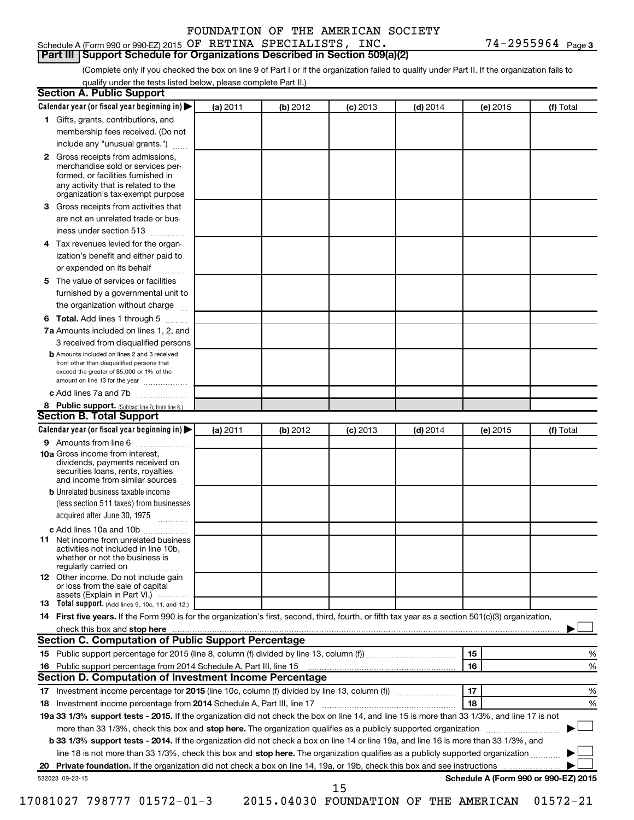#### Schedule A (Form 990 or 990-EZ) 2015 Page OF RETINA SPECIALISTS, INC. 74-2955964 **Part III Support Schedule for Organizations Described in Section 509(a)(2)**

(Complete only if you checked the box on line 9 of Part I or if the organization failed to qualify under Part II. If the organization fails to qualify under the tests listed below, please complete Part II.)

| <b>Section A. Public Support</b>                                                                                                                                                                                                        |          |          |            |            |          |                                      |
|-----------------------------------------------------------------------------------------------------------------------------------------------------------------------------------------------------------------------------------------|----------|----------|------------|------------|----------|--------------------------------------|
| Calendar year (or fiscal year beginning in)                                                                                                                                                                                             | (a) 2011 | (b) 2012 | $(c)$ 2013 | $(d)$ 2014 | (e) 2015 | (f) Total                            |
| 1 Gifts, grants, contributions, and                                                                                                                                                                                                     |          |          |            |            |          |                                      |
| membership fees received. (Do not                                                                                                                                                                                                       |          |          |            |            |          |                                      |
| include any "unusual grants.")                                                                                                                                                                                                          |          |          |            |            |          |                                      |
| 2 Gross receipts from admissions,<br>merchandise sold or services per-<br>formed, or facilities furnished in<br>any activity that is related to the<br>organization's tax-exempt purpose                                                |          |          |            |            |          |                                      |
| 3 Gross receipts from activities that                                                                                                                                                                                                   |          |          |            |            |          |                                      |
| are not an unrelated trade or bus-                                                                                                                                                                                                      |          |          |            |            |          |                                      |
| iness under section 513                                                                                                                                                                                                                 |          |          |            |            |          |                                      |
| 4 Tax revenues levied for the organ-                                                                                                                                                                                                    |          |          |            |            |          |                                      |
| ization's benefit and either paid to                                                                                                                                                                                                    |          |          |            |            |          |                                      |
| or expended on its behalf                                                                                                                                                                                                               |          |          |            |            |          |                                      |
| 5 The value of services or facilities                                                                                                                                                                                                   |          |          |            |            |          |                                      |
| furnished by a governmental unit to                                                                                                                                                                                                     |          |          |            |            |          |                                      |
| the organization without charge                                                                                                                                                                                                         |          |          |            |            |          |                                      |
| 6 Total. Add lines 1 through 5                                                                                                                                                                                                          |          |          |            |            |          |                                      |
| 7a Amounts included on lines 1, 2, and                                                                                                                                                                                                  |          |          |            |            |          |                                      |
| 3 received from disqualified persons                                                                                                                                                                                                    |          |          |            |            |          |                                      |
| <b>b</b> Amounts included on lines 2 and 3 received<br>from other than disqualified persons that<br>exceed the greater of \$5,000 or 1% of the<br>amount on line 13 for the year                                                        |          |          |            |            |          |                                      |
| c Add lines 7a and 7b                                                                                                                                                                                                                   |          |          |            |            |          |                                      |
| 8 Public support. (Subtract line 7c from line 6.)                                                                                                                                                                                       |          |          |            |            |          |                                      |
| <b>Section B. Total Support</b>                                                                                                                                                                                                         |          |          |            |            |          |                                      |
| Calendar year (or fiscal year beginning in)                                                                                                                                                                                             | (a) 2011 | (b) 2012 | $(c)$ 2013 | $(d)$ 2014 | (e) 2015 | (f) Total                            |
| 9 Amounts from line 6                                                                                                                                                                                                                   |          |          |            |            |          |                                      |
| <b>10a</b> Gross income from interest,<br>dividends, payments received on<br>securities loans, rents, royalties<br>and income from similar sources                                                                                      |          |          |            |            |          |                                      |
| <b>b</b> Unrelated business taxable income                                                                                                                                                                                              |          |          |            |            |          |                                      |
| (less section 511 taxes) from businesses                                                                                                                                                                                                |          |          |            |            |          |                                      |
| acquired after June 30, 1975                                                                                                                                                                                                            |          |          |            |            |          |                                      |
| c Add lines 10a and 10b                                                                                                                                                                                                                 |          |          |            |            |          |                                      |
| <b>11</b> Net income from unrelated business<br>activities not included in line 10b.<br>whether or not the business is<br>regularly carried on                                                                                          |          |          |            |            |          |                                      |
| 12 Other income. Do not include gain<br>or loss from the sale of capital<br>assets (Explain in Part VI.)                                                                                                                                |          |          |            |            |          |                                      |
| <b>13</b> Total support. (Add lines 9, 10c, 11, and 12.)                                                                                                                                                                                |          |          |            |            |          |                                      |
| 14 First five years. If the Form 990 is for the organization's first, second, third, fourth, or fifth tax year as a section 501(c)(3) organization,                                                                                     |          |          |            |            |          |                                      |
| check this box and stop here <b>contained and the contained and stop here</b> check this box and stop here <b>contained and the contained and stop here</b> contained and stop here contained and and stop here contained and stop here |          |          |            |            |          |                                      |
| Section C. Computation of Public Support Percentage                                                                                                                                                                                     |          |          |            |            |          |                                      |
|                                                                                                                                                                                                                                         |          |          |            |            | 15       | ℅                                    |
|                                                                                                                                                                                                                                         |          |          |            |            | 16       | %                                    |
| Section D. Computation of Investment Income Percentage                                                                                                                                                                                  |          |          |            |            |          |                                      |
|                                                                                                                                                                                                                                         |          |          |            |            | 17       | %                                    |
| 18 Investment income percentage from 2014 Schedule A, Part III, line 17                                                                                                                                                                 |          |          |            |            | 18       | %                                    |
| 19a 33 1/3% support tests - 2015. If the organization did not check the box on line 14, and line 15 is more than 33 1/3%, and line 17 is not                                                                                            |          |          |            |            |          |                                      |
| more than 33 1/3%, check this box and stop here. The organization qualifies as a publicly supported organization                                                                                                                        |          |          |            |            |          |                                      |
| b 33 1/3% support tests - 2014. If the organization did not check a box on line 14 or line 19a, and line 16 is more than 33 1/3%, and                                                                                                   |          |          |            |            |          |                                      |
| line 18 is not more than 33 1/3%, check this box and stop here. The organization qualifies as a publicly supported organization                                                                                                         |          |          |            |            |          |                                      |
|                                                                                                                                                                                                                                         |          |          |            |            |          |                                      |
| 532023 09-23-15                                                                                                                                                                                                                         |          |          |            |            |          | Schedule A (Form 990 or 990-EZ) 2015 |
|                                                                                                                                                                                                                                         |          |          | 15         |            |          |                                      |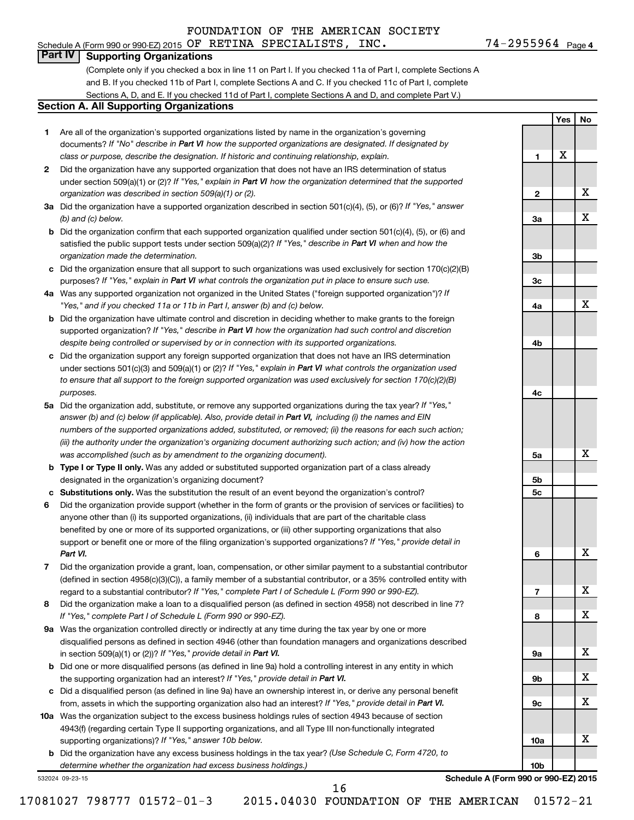# **Part IV Supporting Organizations**

(Complete only if you checked a box in line 11 on Part I. If you checked 11a of Part I, complete Sections A and B. If you checked 11b of Part I, complete Sections A and C. If you checked 11c of Part I, complete Sections A, D, and E. If you checked 11d of Part I, complete Sections A and D, and complete Part V.)

#### **Section A. All Supporting Organizations**

- **1** Are all of the organization's supported organizations listed by name in the organization's governing documents? If "No" describe in Part VI how the supported organizations are designated. If designated by *class or purpose, describe the designation. If historic and continuing relationship, explain.*
- **2** Did the organization have any supported organization that does not have an IRS determination of status under section 509(a)(1) or (2)? If "Yes," explain in Part VI how the organization determined that the supported *organization was described in section 509(a)(1) or (2).*
- **3a** Did the organization have a supported organization described in section 501(c)(4), (5), or (6)? If "Yes," answer *(b) and (c) below.*
- **b** Did the organization confirm that each supported organization qualified under section 501(c)(4), (5), or (6) and satisfied the public support tests under section 509(a)(2)? If "Yes," describe in Part VI when and how the *organization made the determination.*
- **c** Did the organization ensure that all support to such organizations was used exclusively for section 170(c)(2)(B) purposes? If "Yes," explain in Part VI what controls the organization put in place to ensure such use.
- **4 a** *If* Was any supported organization not organized in the United States ("foreign supported organization")? *"Yes," and if you checked 11a or 11b in Part I, answer (b) and (c) below.*
- **b** Did the organization have ultimate control and discretion in deciding whether to make grants to the foreign supported organization? If "Yes," describe in Part VI how the organization had such control and discretion *despite being controlled or supervised by or in connection with its supported organizations.*
- **c** Did the organization support any foreign supported organization that does not have an IRS determination under sections 501(c)(3) and 509(a)(1) or (2)? If "Yes," explain in Part VI what controls the organization used *to ensure that all support to the foreign supported organization was used exclusively for section 170(c)(2)(B) purposes.*
- **5a** Did the organization add, substitute, or remove any supported organizations during the tax year? If "Yes," answer (b) and (c) below (if applicable). Also, provide detail in Part VI, including (i) the names and EIN *numbers of the supported organizations added, substituted, or removed; (ii) the reasons for each such action; (iii) the authority under the organization's organizing document authorizing such action; and (iv) how the action was accomplished (such as by amendment to the organizing document).*
- **b Type I or Type II only.** Was any added or substituted supported organization part of a class already designated in the organization's organizing document?
- **c Substitutions only.**  Was the substitution the result of an event beyond the organization's control?
- **6** Did the organization provide support (whether in the form of grants or the provision of services or facilities) to support or benefit one or more of the filing organization's supported organizations? If "Yes," provide detail in anyone other than (i) its supported organizations, (ii) individuals that are part of the charitable class benefited by one or more of its supported organizations, or (iii) other supporting organizations that also *Part VI.*
- **7** Did the organization provide a grant, loan, compensation, or other similar payment to a substantial contributor regard to a substantial contributor? If "Yes," complete Part I of Schedule L (Form 990 or 990-EZ). (defined in section 4958(c)(3)(C)), a family member of a substantial contributor, or a 35% controlled entity with
- **8** Did the organization make a loan to a disqualified person (as defined in section 4958) not described in line 7? *If "Yes," complete Part I of Schedule L (Form 990 or 990-EZ).*
- **9 a** Was the organization controlled directly or indirectly at any time during the tax year by one or more in section 509(a)(1) or (2))? If "Yes," provide detail in Part VI. disqualified persons as defined in section 4946 (other than foundation managers and organizations described
- **b** Did one or more disqualified persons (as defined in line 9a) hold a controlling interest in any entity in which the supporting organization had an interest? If "Yes," provide detail in Part VI.
- **c** Did a disqualified person (as defined in line 9a) have an ownership interest in, or derive any personal benefit from, assets in which the supporting organization also had an interest? If "Yes," provide detail in Part VI.
- **10 a** Was the organization subject to the excess business holdings rules of section 4943 because of section supporting organizations)? If "Yes," answer 10b below. 4943(f) (regarding certain Type II supporting organizations, and all Type III non-functionally integrated
	- **b** Did the organization have any excess business holdings in the tax year? (Use Schedule C, Form 4720, to *determine whether the organization had excess business holdings.)*

532024 09-23-15

**1**

**2**

**3a**

**3b**

**3c**

**4a**

**4b**

**4c**

**5a**

**5b 5c**

**6**

**7**

**8**

**9a**

**9b**

**9c**

**10a**

**10b**

**Yes No**

X

X

X

X

X

X

X

X

X

X

X

X

**Schedule A (Form 990 or 990-EZ) 2015**

16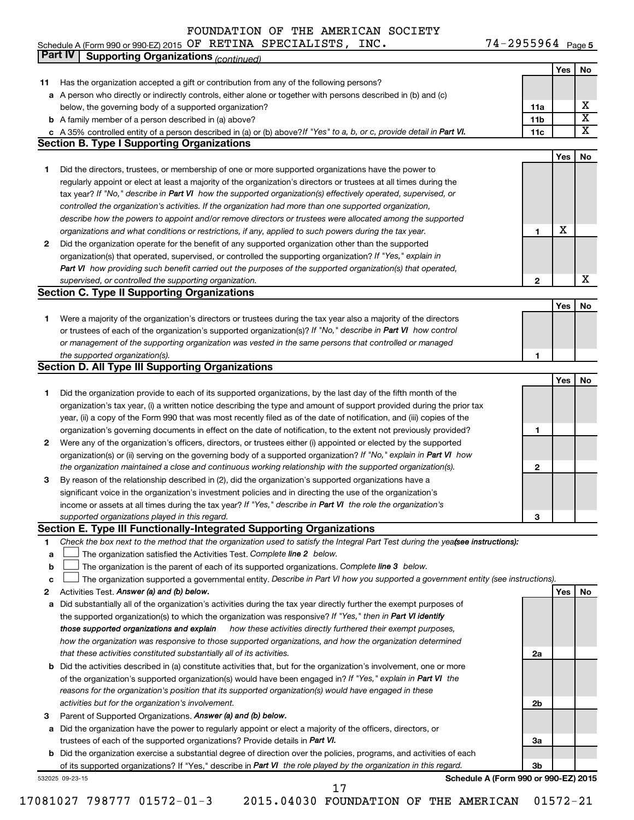| Schedule A (Form 990 or 990-EZ) 2015 $\,$ OF $\,$ RETINA $\,$ SPECIALISTS , $\,$ INC $\,$ . |  | $74 - 2955964$ Page 5 |  |
|---------------------------------------------------------------------------------------------|--|-----------------------|--|
|                                                                                             |  |                       |  |

|              | Part IV<br><b>Supporting Organizations (continued)</b>                                                                                                                       |                 |     |                         |
|--------------|------------------------------------------------------------------------------------------------------------------------------------------------------------------------------|-----------------|-----|-------------------------|
|              |                                                                                                                                                                              |                 | Yes | No                      |
| 11           | Has the organization accepted a gift or contribution from any of the following persons?                                                                                      |                 |     |                         |
|              | a A person who directly or indirectly controls, either alone or together with persons described in (b) and (c)                                                               |                 |     |                         |
|              | below, the governing body of a supported organization?                                                                                                                       | 11a             |     | х                       |
|              | <b>b</b> A family member of a person described in (a) above?                                                                                                                 | 11 <sub>b</sub> |     | $\overline{\mathbf{X}}$ |
|              |                                                                                                                                                                              | 11c             |     | X                       |
|              | c A 35% controlled entity of a person described in (a) or (b) above? If "Yes" to a, b, or c, provide detail in Part VI.<br><b>Section B. Type I Supporting Organizations</b> |                 |     |                         |
|              |                                                                                                                                                                              |                 |     |                         |
|              |                                                                                                                                                                              |                 | Yes | No                      |
| 1            | Did the directors, trustees, or membership of one or more supported organizations have the power to                                                                          |                 |     |                         |
|              | regularly appoint or elect at least a majority of the organization's directors or trustees at all times during the                                                           |                 |     |                         |
|              | tax year? If "No," describe in Part VI how the supported organization(s) effectively operated, supervised, or                                                                |                 |     |                         |
|              | controlled the organization's activities. If the organization had more than one supported organization,                                                                      |                 |     |                         |
|              | describe how the powers to appoint and/or remove directors or trustees were allocated among the supported                                                                    |                 |     |                         |
|              | organizations and what conditions or restrictions, if any, applied to such powers during the tax year.                                                                       | 1               | X   |                         |
| 2            | Did the organization operate for the benefit of any supported organization other than the supported                                                                          |                 |     |                         |
|              | organization(s) that operated, supervised, or controlled the supporting organization? If "Yes," explain in                                                                   |                 |     |                         |
|              | Part VI how providing such benefit carried out the purposes of the supported organization(s) that operated,                                                                  |                 |     |                         |
|              | supervised, or controlled the supporting organization.                                                                                                                       | $\mathbf{2}$    |     | X                       |
|              | <b>Section C. Type II Supporting Organizations</b>                                                                                                                           |                 |     |                         |
|              |                                                                                                                                                                              |                 | Yes | No                      |
| 1.           | Were a majority of the organization's directors or trustees during the tax year also a majority of the directors                                                             |                 |     |                         |
|              | or trustees of each of the organization's supported organization(s)? If "No," describe in Part VI how control                                                                |                 |     |                         |
|              | or management of the supporting organization was vested in the same persons that controlled or managed                                                                       |                 |     |                         |
|              |                                                                                                                                                                              |                 |     |                         |
|              | the supported organization(s).                                                                                                                                               | 1               |     |                         |
|              | <b>Section D. All Type III Supporting Organizations</b>                                                                                                                      |                 |     |                         |
|              |                                                                                                                                                                              |                 | Yes | No                      |
| 1            | Did the organization provide to each of its supported organizations, by the last day of the fifth month of the                                                               |                 |     |                         |
|              | organization's tax year, (i) a written notice describing the type and amount of support provided during the prior tax                                                        |                 |     |                         |
|              | year, (ii) a copy of the Form 990 that was most recently filed as of the date of notification, and (iii) copies of the                                                       |                 |     |                         |
|              | organization's governing documents in effect on the date of notification, to the extent not previously provided?                                                             | 1               |     |                         |
| $\mathbf{2}$ | Were any of the organization's officers, directors, or trustees either (i) appointed or elected by the supported                                                             |                 |     |                         |
|              | organization(s) or (ii) serving on the governing body of a supported organization? If "No," explain in Part VI how                                                           |                 |     |                         |
|              | the organization maintained a close and continuous working relationship with the supported organization(s).                                                                  | $\mathbf{2}$    |     |                         |
| 3            | By reason of the relationship described in (2), did the organization's supported organizations have a                                                                        |                 |     |                         |
|              | significant voice in the organization's investment policies and in directing the use of the organization's                                                                   |                 |     |                         |
|              | income or assets at all times during the tax year? If "Yes," describe in Part VI the role the organization's                                                                 |                 |     |                         |
|              | supported organizations played in this regard.                                                                                                                               | з               |     |                         |
|              | Section E. Type III Functionally-Integrated Supporting Organizations                                                                                                         |                 |     |                         |
| 1            | Check the box next to the method that the organization used to satisfy the Integral Part Test during the yeafsee instructions):                                              |                 |     |                         |
| a            | The organization satisfied the Activities Test. Complete line 2 below.                                                                                                       |                 |     |                         |
| $\mathbf b$  | The organization is the parent of each of its supported organizations. Complete line 3 below.                                                                                |                 |     |                         |
| c            | The organization supported a governmental entity. Describe in Part VI how you supported a government entity (see instructions).                                              |                 |     |                         |
| 2            | Activities Test. Answer (a) and (b) below.                                                                                                                                   |                 | Yes | No                      |
|              | Did substantially all of the organization's activities during the tax year directly further the exempt purposes of                                                           |                 |     |                         |
| а            |                                                                                                                                                                              |                 |     |                         |
|              | the supported organization(s) to which the organization was responsive? If "Yes," then in Part VI identify                                                                   |                 |     |                         |
|              | those supported organizations and explain<br>how these activities directly furthered their exempt purposes,                                                                  |                 |     |                         |
|              | how the organization was responsive to those supported organizations, and how the organization determined                                                                    |                 |     |                         |
|              | that these activities constituted substantially all of its activities.                                                                                                       | 2a              |     |                         |
|              | <b>b</b> Did the activities described in (a) constitute activities that, but for the organization's involvement, one or more                                                 |                 |     |                         |
|              | of the organization's supported organization(s) would have been engaged in? If "Yes," explain in Part VI the                                                                 |                 |     |                         |
|              | reasons for the organization's position that its supported organization(s) would have engaged in these                                                                       |                 |     |                         |
|              | activities but for the organization's involvement.                                                                                                                           | 2b              |     |                         |
| з            | Parent of Supported Organizations. Answer (a) and (b) below.                                                                                                                 |                 |     |                         |
| а            | Did the organization have the power to regularly appoint or elect a majority of the officers, directors, or                                                                  |                 |     |                         |
|              | trustees of each of the supported organizations? Provide details in Part VI.                                                                                                 | За              |     |                         |
|              | <b>b</b> Did the organization exercise a substantial degree of direction over the policies, programs, and activities of each                                                 |                 |     |                         |
|              | of its supported organizations? If "Yes," describe in Part VI the role played by the organization in this regard.                                                            | Зb              |     |                         |
|              | Schedule A (Form 990 or 990-EZ) 2015<br>532025 09-23-15                                                                                                                      |                 |     |                         |
|              | 17                                                                                                                                                                           |                 |     |                         |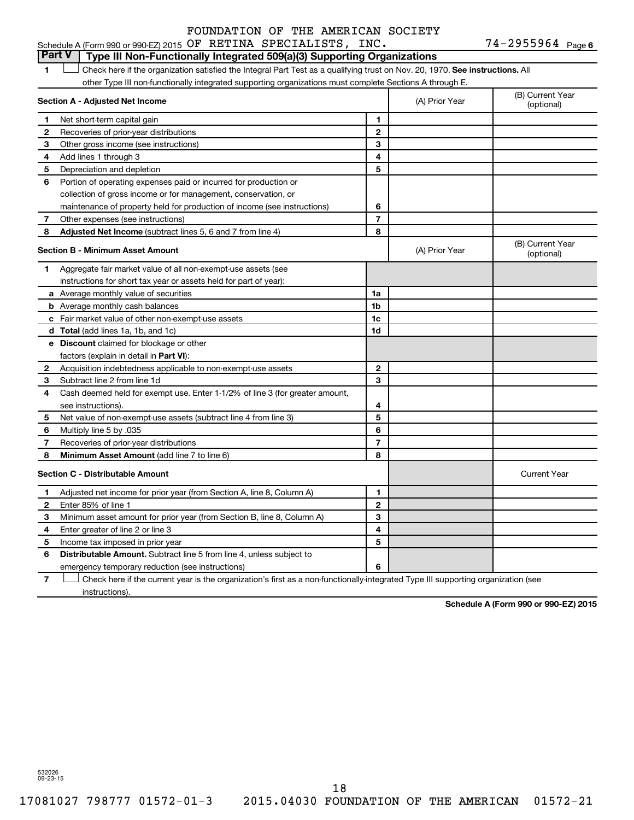74-2955964 Page 6 Schedule A (Form 990 or 990-EZ) 2015 Page OF RETINA SPECIALISTS, INC. 74-2955964

### **Part V Type III Non-Functionally Integrated 509(a)(3) Supporting Organizations**

1 **Letter on Reck here if the organization satisfied the Integral Part Test as a qualifying trust on Nov. 20, 1970. See instructions. All** other Type III non-functionally integrated supporting organizations must complete Sections A through E.

|                          | Section A - Adjusted Net Income                                              |                | (A) Prior Year | (B) Current Year<br>(optional) |
|--------------------------|------------------------------------------------------------------------------|----------------|----------------|--------------------------------|
| 1                        | Net short-term capital gain                                                  | 1              |                |                                |
| $\mathbf{2}$             | Recoveries of prior-year distributions                                       | $\mathbf{2}$   |                |                                |
| 3                        | Other gross income (see instructions)                                        | 3              |                |                                |
| 4                        | Add lines 1 through 3                                                        | 4              |                |                                |
| 5                        | Depreciation and depletion                                                   | 5              |                |                                |
| 6                        | Portion of operating expenses paid or incurred for production or             |                |                |                                |
|                          | collection of gross income or for management, conservation, or               |                |                |                                |
|                          | maintenance of property held for production of income (see instructions)     | 6              |                |                                |
| 7                        | Other expenses (see instructions)                                            | $\overline{7}$ |                |                                |
| 8                        | Adjusted Net Income (subtract lines 5, 6 and 7 from line 4)                  | 8              |                |                                |
|                          | <b>Section B - Minimum Asset Amount</b>                                      |                | (A) Prior Year | (B) Current Year<br>(optional) |
| 1                        | Aggregate fair market value of all non-exempt-use assets (see                |                |                |                                |
|                          | instructions for short tax year or assets held for part of year):            |                |                |                                |
|                          | a Average monthly value of securities                                        | 1a             |                |                                |
|                          | <b>b</b> Average monthly cash balances                                       | 1 <sub>b</sub> |                |                                |
|                          | <b>c</b> Fair market value of other non-exempt-use assets                    | 1c             |                |                                |
|                          | d Total (add lines 1a, 1b, and 1c)                                           | 1d             |                |                                |
|                          | e Discount claimed for blockage or other                                     |                |                |                                |
|                          | factors (explain in detail in Part VI):                                      |                |                |                                |
| 2                        | Acquisition indebtedness applicable to non-exempt-use assets                 | $\mathbf{2}$   |                |                                |
| 3                        | Subtract line 2 from line 1d                                                 | 3              |                |                                |
| 4                        | Cash deemed held for exempt use. Enter 1-1/2% of line 3 (for greater amount, |                |                |                                |
|                          | see instructions).                                                           | 4              |                |                                |
| 5                        | Net value of non-exempt-use assets (subtract line 4 from line 3)             | 5              |                |                                |
| 6                        | Multiply line 5 by .035                                                      | 6              |                |                                |
| $\overline{\phantom{a}}$ | Recoveries of prior-year distributions                                       | $\overline{7}$ |                |                                |
| 8                        | <b>Minimum Asset Amount (add line 7 to line 6)</b>                           | 8              |                |                                |
|                          | <b>Section C - Distributable Amount</b>                                      |                |                | <b>Current Year</b>            |
| 1                        | Adjusted net income for prior year (from Section A, line 8, Column A)        | 1              |                |                                |
| $\mathbf{2}$             | Enter 85% of line 1                                                          | $\mathbf{2}$   |                |                                |
| 3                        | Minimum asset amount for prior year (from Section B, line 8, Column A)       | 3              |                |                                |
| 4                        | Enter greater of line 2 or line 3                                            | 4              |                |                                |
| 5                        | Income tax imposed in prior year                                             | 5              |                |                                |
| 6                        | Distributable Amount. Subtract line 5 from line 4, unless subject to         |                |                |                                |
|                          | emergency temporary reduction (see instructions)                             | 6              |                |                                |

**7** Let Check here if the current year is the organization's first as a non-functionally-integrated Type III supporting organization (see instructions).

**Schedule A (Form 990 or 990-EZ) 2015**

532026 09-23-15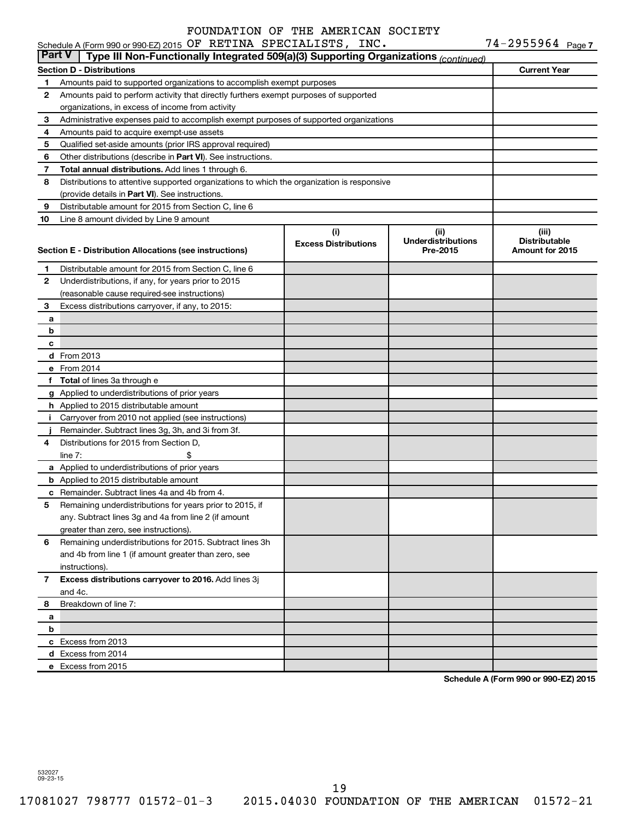| <b>Part V</b> | Type III Non-Functionally Integrated 509(a)(3) Supporting Organizations (continued)                              |                             |                                       |                                         |
|---------------|------------------------------------------------------------------------------------------------------------------|-----------------------------|---------------------------------------|-----------------------------------------|
|               | <b>Section D - Distributions</b>                                                                                 |                             |                                       | <b>Current Year</b>                     |
| 1             | Amounts paid to supported organizations to accomplish exempt purposes                                            |                             |                                       |                                         |
| 2             | Amounts paid to perform activity that directly furthers exempt purposes of supported                             |                             |                                       |                                         |
|               | organizations, in excess of income from activity                                                                 |                             |                                       |                                         |
| 3             | Administrative expenses paid to accomplish exempt purposes of supported organizations                            |                             |                                       |                                         |
| 4             | Amounts paid to acquire exempt-use assets                                                                        |                             |                                       |                                         |
| 5             | Qualified set-aside amounts (prior IRS approval required)                                                        |                             |                                       |                                         |
| 6             | Other distributions (describe in Part VI). See instructions.                                                     |                             |                                       |                                         |
| 7             | Total annual distributions. Add lines 1 through 6.                                                               |                             |                                       |                                         |
| 8             | Distributions to attentive supported organizations to which the organization is responsive                       |                             |                                       |                                         |
|               | (provide details in Part VI). See instructions.                                                                  |                             |                                       |                                         |
| 9             | Distributable amount for 2015 from Section C, line 6                                                             |                             |                                       |                                         |
| 10            | Line 8 amount divided by Line 9 amount                                                                           |                             |                                       |                                         |
|               |                                                                                                                  | (i)                         | (iii)                                 | (iii)                                   |
|               | Section E - Distribution Allocations (see instructions)                                                          | <b>Excess Distributions</b> | <b>Underdistributions</b><br>Pre-2015 | <b>Distributable</b><br>Amount for 2015 |
|               |                                                                                                                  |                             |                                       |                                         |
| 1             | Distributable amount for 2015 from Section C, line 6                                                             |                             |                                       |                                         |
| 2             | Underdistributions, if any, for years prior to 2015                                                              |                             |                                       |                                         |
|               | (reasonable cause required-see instructions)                                                                     |                             |                                       |                                         |
| 3             | Excess distributions carryover, if any, to 2015:                                                                 |                             |                                       |                                         |
| а             |                                                                                                                  |                             |                                       |                                         |
| b             |                                                                                                                  |                             |                                       |                                         |
| с             |                                                                                                                  |                             |                                       |                                         |
|               | d From 2013                                                                                                      |                             |                                       |                                         |
|               | e From 2014                                                                                                      |                             |                                       |                                         |
|               | f Total of lines 3a through e                                                                                    |                             |                                       |                                         |
|               | g Applied to underdistributions of prior years                                                                   |                             |                                       |                                         |
|               | h Applied to 2015 distributable amount                                                                           |                             |                                       |                                         |
| i.            | Carryover from 2010 not applied (see instructions)                                                               |                             |                                       |                                         |
|               | Remainder. Subtract lines 3g, 3h, and 3i from 3f.                                                                |                             |                                       |                                         |
| 4             | Distributions for 2015 from Section D,                                                                           |                             |                                       |                                         |
|               | \$<br>line $7:$                                                                                                  |                             |                                       |                                         |
|               | a Applied to underdistributions of prior years                                                                   |                             |                                       |                                         |
|               | <b>b</b> Applied to 2015 distributable amount                                                                    |                             |                                       |                                         |
|               | c Remainder. Subtract lines 4a and 4b from 4.                                                                    |                             |                                       |                                         |
| 5             | Remaining underdistributions for years prior to 2015, if<br>any. Subtract lines 3g and 4a from line 2 (if amount |                             |                                       |                                         |
|               | greater than zero, see instructions).                                                                            |                             |                                       |                                         |
| 6             | Remaining underdistributions for 2015. Subtract lines 3h                                                         |                             |                                       |                                         |
|               | and 4b from line 1 (if amount greater than zero, see                                                             |                             |                                       |                                         |
|               | instructions).                                                                                                   |                             |                                       |                                         |
| 7             | Excess distributions carryover to 2016. Add lines 3j                                                             |                             |                                       |                                         |
|               | and 4c.                                                                                                          |                             |                                       |                                         |
| 8             | Breakdown of line 7:                                                                                             |                             |                                       |                                         |
| а             |                                                                                                                  |                             |                                       |                                         |
| b             |                                                                                                                  |                             |                                       |                                         |
|               | c Excess from 2013                                                                                               |                             |                                       |                                         |
|               | d Excess from 2014                                                                                               |                             |                                       |                                         |
|               | e Excess from 2015                                                                                               |                             |                                       |                                         |

**Schedule A (Form 990 or 990-EZ) 2015**

532027 09-23-15